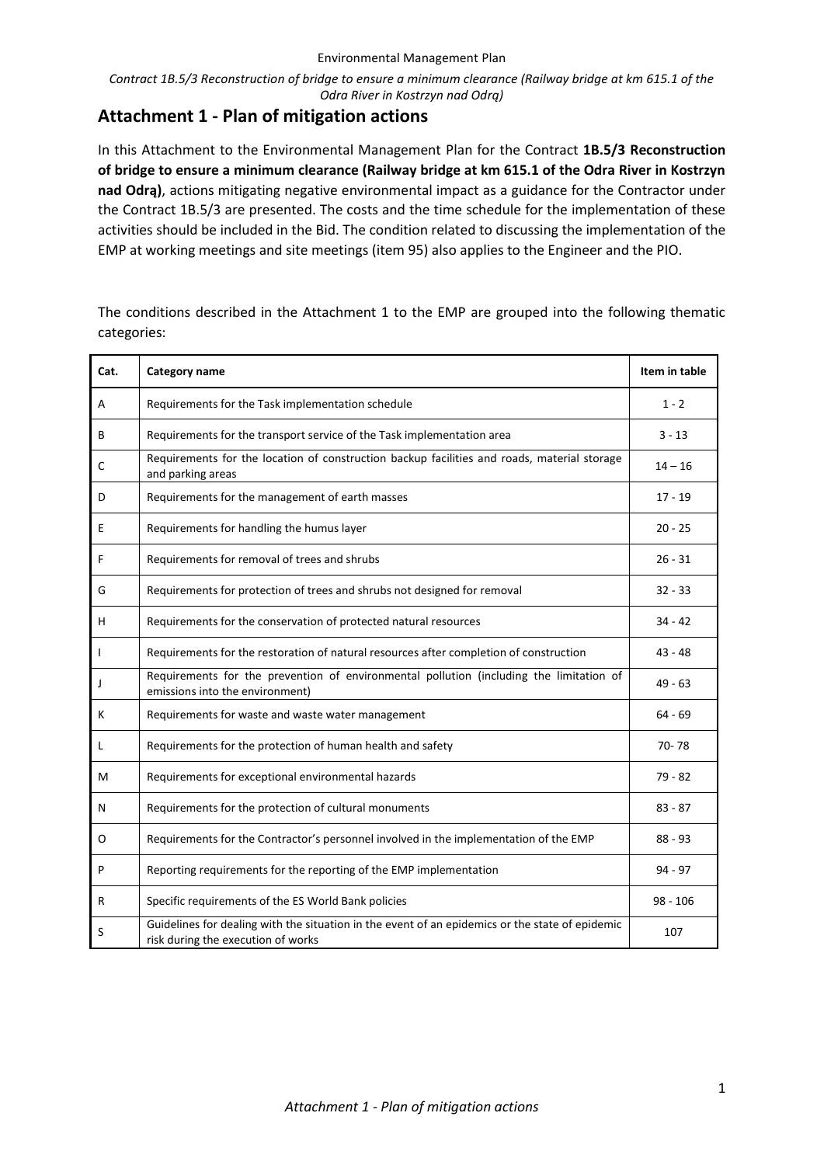*Contract 1B.5/3 Reconstruction of bridge to ensure a minimum clearance (Railway bridge at km 615.1 of the Odra River in Kostrzyn nad Odrą)*

# **Attachment 1 - Plan of mitigation actions**

In this Attachment to the Environmental Management Plan for the Contract **1B.5/3 Reconstruction of bridge to ensure a minimum clearance (Railway bridge at km 615.1 of the Odra River in Kostrzyn nad Odrą)**, actions mitigating negative environmental impact as a guidance for the Contractor under the Contract 1B.5/3 are presented. The costs and the time schedule for the implementation of these activities should be included in the Bid. The condition related to discussing the implementation of the EMP at working meetings and site meetings (item 95) also applies to the Engineer and the PIO.

The conditions described in the Attachment 1 to the EMP are grouped into the following thematic categories:

| Cat.         | <b>Category name</b>                                                                                                                  | Item in table |
|--------------|---------------------------------------------------------------------------------------------------------------------------------------|---------------|
| A            | Requirements for the Task implementation schedule                                                                                     | $1 - 2$       |
| В            | Requirements for the transport service of the Task implementation area                                                                | $3 - 13$      |
| C            | Requirements for the location of construction backup facilities and roads, material storage<br>and parking areas                      | $14 - 16$     |
| D            | Requirements for the management of earth masses                                                                                       | $17 - 19$     |
| Ε            | Requirements for handling the humus layer                                                                                             | $20 - 25$     |
| F            | Requirements for removal of trees and shrubs                                                                                          | $26 - 31$     |
| G            | Requirements for protection of trees and shrubs not designed for removal                                                              | $32 - 33$     |
| н            | Requirements for the conservation of protected natural resources                                                                      | 34 - 42       |
| $\mathbf{I}$ | Requirements for the restoration of natural resources after completion of construction                                                | $43 - 48$     |
| J            | Requirements for the prevention of environmental pollution (including the limitation of<br>emissions into the environment)            | 49 - 63       |
| К            | Requirements for waste and waste water management                                                                                     | 64 - 69       |
| L            | Requirements for the protection of human health and safety                                                                            | 70-78         |
| м            | Requirements for exceptional environmental hazards                                                                                    | 79 - 82       |
| N            | Requirements for the protection of cultural monuments                                                                                 | $83 - 87$     |
| 0            | Requirements for the Contractor's personnel involved in the implementation of the EMP                                                 | $88 - 93$     |
| P            | Reporting requirements for the reporting of the EMP implementation                                                                    | 94 - 97       |
| R            | Specific requirements of the ES World Bank policies                                                                                   | $98 - 106$    |
| S            | Guidelines for dealing with the situation in the event of an epidemics or the state of epidemic<br>risk during the execution of works | 107           |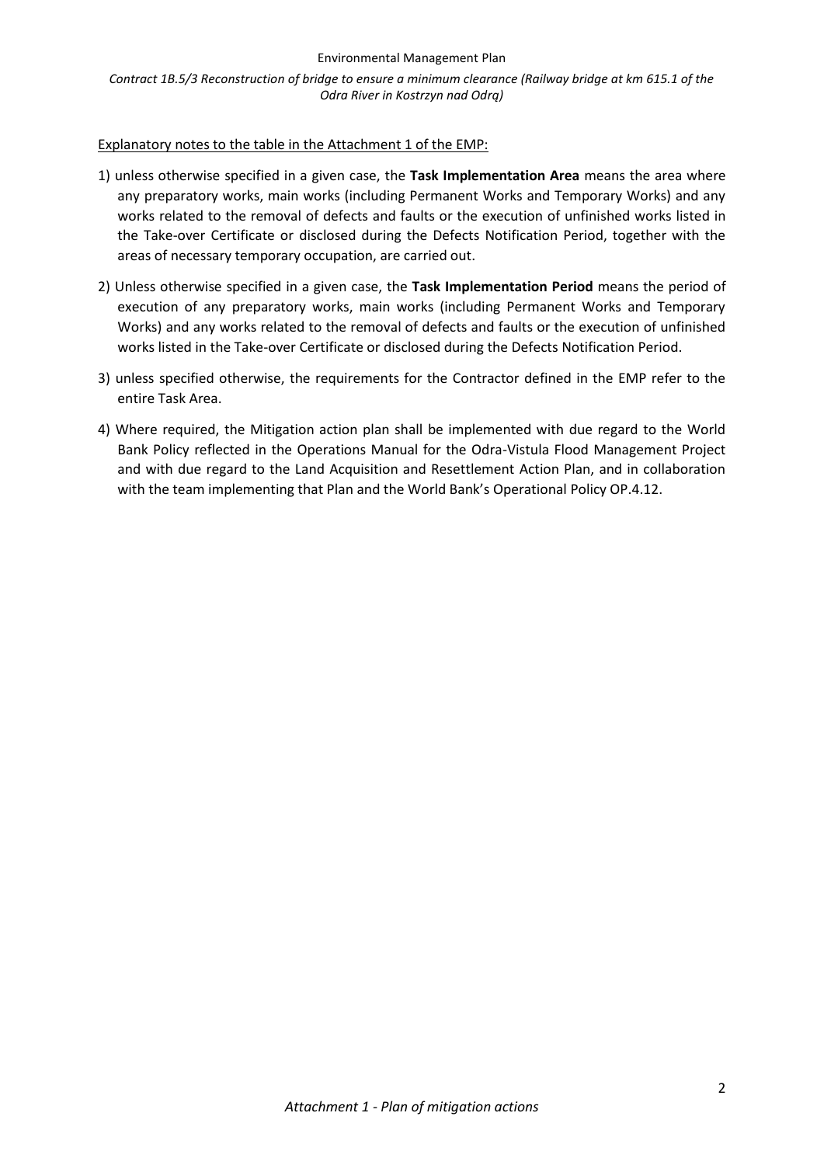*Contract 1B.5/3 Reconstruction of bridge to ensure a minimum clearance (Railway bridge at km 615.1 of the Odra River in Kostrzyn nad Odrą)*

### Explanatory notes to the table in the Attachment 1 of the EMP:

- 1) unless otherwise specified in a given case, the **Task Implementation Area** means the area where any preparatory works, main works (including Permanent Works and Temporary Works) and any works related to the removal of defects and faults or the execution of unfinished works listed in the Take-over Certificate or disclosed during the Defects Notification Period, together with the areas of necessary temporary occupation, are carried out.
- 2) Unless otherwise specified in a given case, the **Task Implementation Period** means the period of execution of any preparatory works, main works (including Permanent Works and Temporary Works) and any works related to the removal of defects and faults or the execution of unfinished works listed in the Take-over Certificate or disclosed during the Defects Notification Period.
- 3) unless specified otherwise, the requirements for the Contractor defined in the EMP refer to the entire Task Area.
- 4) Where required, the Mitigation action plan shall be implemented with due regard to the World Bank Policy reflected in the Operations Manual for the Odra-Vistula Flood Management Project and with due regard to the Land Acquisition and Resettlement Action Plan, and in collaboration with the team implementing that Plan and the World Bank's Operational Policy OP.4.12.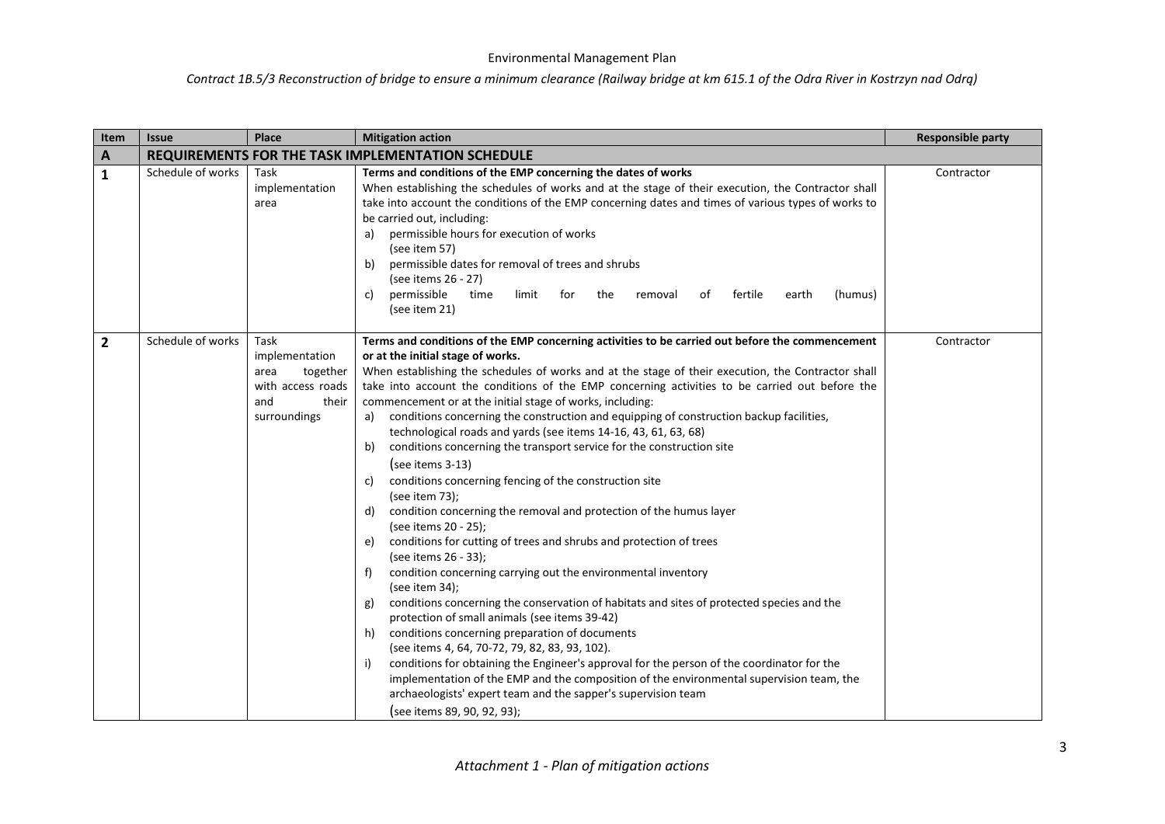| Item           | <b>Issue</b>                                      | Place                                                                                           | <b>Mitigation action</b>                                                                                                                                                                                                                                                                                                                                                                                                                                                                                                                                                                                                                                                                                                                                                                                                                                                                                                                                                                                                                                                                                                                                                                                                                                                                                                                                                                                                                                                                                                                                                                                                             | <b>Responsible party</b> |  |
|----------------|---------------------------------------------------|-------------------------------------------------------------------------------------------------|--------------------------------------------------------------------------------------------------------------------------------------------------------------------------------------------------------------------------------------------------------------------------------------------------------------------------------------------------------------------------------------------------------------------------------------------------------------------------------------------------------------------------------------------------------------------------------------------------------------------------------------------------------------------------------------------------------------------------------------------------------------------------------------------------------------------------------------------------------------------------------------------------------------------------------------------------------------------------------------------------------------------------------------------------------------------------------------------------------------------------------------------------------------------------------------------------------------------------------------------------------------------------------------------------------------------------------------------------------------------------------------------------------------------------------------------------------------------------------------------------------------------------------------------------------------------------------------------------------------------------------------|--------------------------|--|
| A              | REQUIREMENTS FOR THE TASK IMPLEMENTATION SCHEDULE |                                                                                                 |                                                                                                                                                                                                                                                                                                                                                                                                                                                                                                                                                                                                                                                                                                                                                                                                                                                                                                                                                                                                                                                                                                                                                                                                                                                                                                                                                                                                                                                                                                                                                                                                                                      |                          |  |
| $\mathbf{1}$   | Schedule of works                                 | Task<br>implementation<br>area                                                                  | Terms and conditions of the EMP concerning the dates of works<br>When establishing the schedules of works and at the stage of their execution, the Contractor shall<br>take into account the conditions of the EMP concerning dates and times of various types of works to<br>be carried out, including:<br>a) permissible hours for execution of works<br>(see item 57)<br>permissible dates for removal of trees and shrubs<br>b)<br>(see items 26 - 27)<br>permissible<br>(humus)<br>time<br>limit<br>for<br>the<br>fertile<br>earth<br>C)<br>removal<br>of<br>(see item 21)                                                                                                                                                                                                                                                                                                                                                                                                                                                                                                                                                                                                                                                                                                                                                                                                                                                                                                                                                                                                                                                      | Contractor               |  |
| $\overline{2}$ | Schedule of works                                 | Task<br>implementation<br>together<br>area<br>with access roads<br>and<br>their<br>surroundings | Terms and conditions of the EMP concerning activities to be carried out before the commencement<br>or at the initial stage of works.<br>When establishing the schedules of works and at the stage of their execution, the Contractor shall<br>take into account the conditions of the EMP concerning activities to be carried out before the<br>commencement or at the initial stage of works, including:<br>a) conditions concerning the construction and equipping of construction backup facilities,<br>technological roads and yards (see items 14-16, 43, 61, 63, 68)<br>conditions concerning the transport service for the construction site<br>b)<br>(see items $3-13$ )<br>conditions concerning fencing of the construction site<br>C)<br>(see item 73);<br>condition concerning the removal and protection of the humus layer<br>d)<br>(see items 20 - 25);<br>conditions for cutting of trees and shrubs and protection of trees<br>e)<br>(see items 26 - 33);<br>condition concerning carrying out the environmental inventory<br>f)<br>(see item $34$ );<br>conditions concerning the conservation of habitats and sites of protected species and the<br>g)<br>protection of small animals (see items 39-42)<br>conditions concerning preparation of documents<br>h)<br>(see items 4, 64, 70-72, 79, 82, 83, 93, 102).<br>conditions for obtaining the Engineer's approval for the person of the coordinator for the<br>i)<br>implementation of the EMP and the composition of the environmental supervision team, the<br>archaeologists' expert team and the sapper's supervision team<br>(see items 89, 90, 92, 93); | Contractor               |  |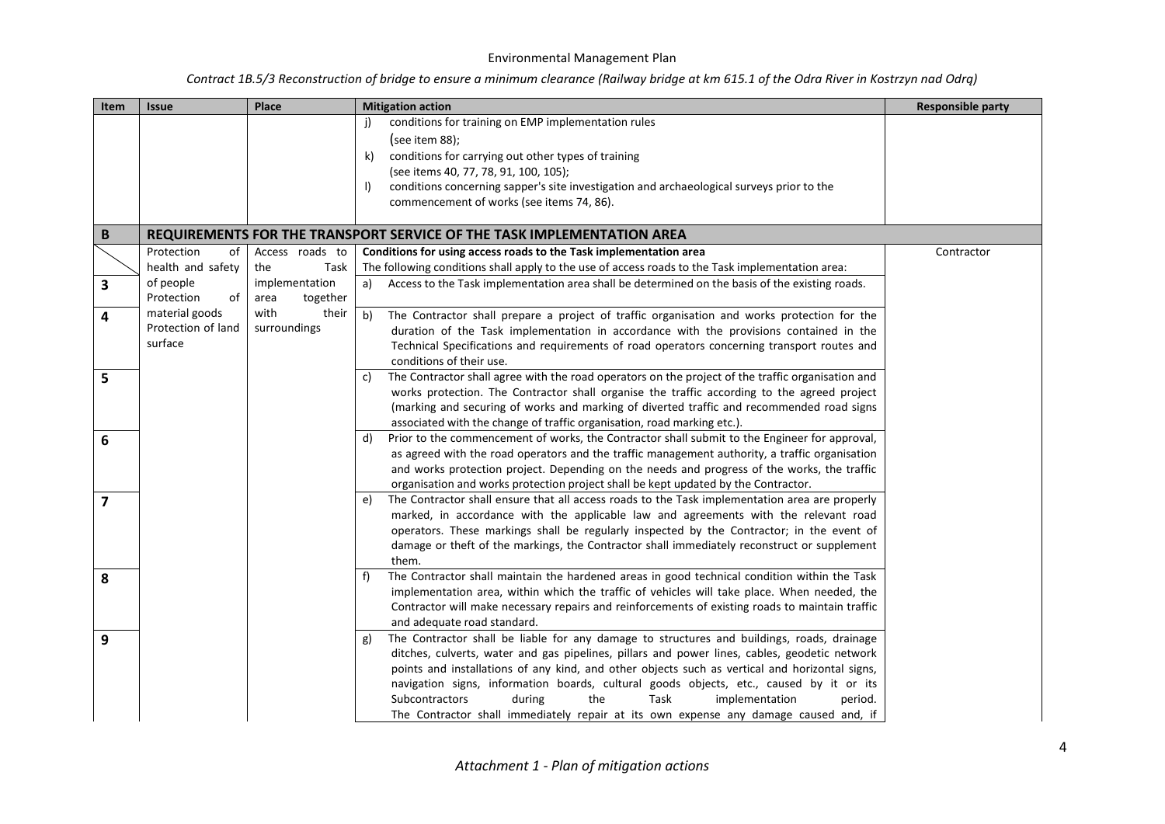| Item                    | <b>Issue</b>       | Place            | <b>Mitigation action</b>                                                                                | <b>Responsible party</b> |
|-------------------------|--------------------|------------------|---------------------------------------------------------------------------------------------------------|--------------------------|
|                         |                    |                  | conditions for training on EMP implementation rules                                                     |                          |
|                         |                    |                  | (see item $88$ );                                                                                       |                          |
|                         |                    |                  | conditions for carrying out other types of training<br>k)                                               |                          |
|                         |                    |                  | (see items 40, 77, 78, 91, 100, 105);                                                                   |                          |
|                         |                    |                  | conditions concerning sapper's site investigation and archaeological surveys prior to the<br>$\vert$ )  |                          |
|                         |                    |                  | commencement of works (see items 74, 86).                                                               |                          |
|                         |                    |                  |                                                                                                         |                          |
| B                       |                    |                  | REQUIREMENTS FOR THE TRANSPORT SERVICE OF THE TASK IMPLEMENTATION AREA                                  |                          |
|                         | Protection<br>of   | Access roads to  | Conditions for using access roads to the Task implementation area                                       | Contractor               |
|                         | health and safety  | Task<br>the      | The following conditions shall apply to the use of access roads to the Task implementation area:        |                          |
| 3                       | of people          | implementation   | Access to the Task implementation area shall be determined on the basis of the existing roads.<br>a)    |                          |
|                         | Protection<br>οf   | together<br>area |                                                                                                         |                          |
| 4                       | material goods     | with<br>their    | b)<br>The Contractor shall prepare a project of traffic organisation and works protection for the       |                          |
|                         | Protection of land | surroundings     | duration of the Task implementation in accordance with the provisions contained in the                  |                          |
|                         | surface            |                  | Technical Specifications and requirements of road operators concerning transport routes and             |                          |
|                         |                    |                  | conditions of their use.                                                                                |                          |
| 5                       |                    |                  | The Contractor shall agree with the road operators on the project of the traffic organisation and<br>C) |                          |
|                         |                    |                  | works protection. The Contractor shall organise the traffic according to the agreed project             |                          |
|                         |                    |                  | (marking and securing of works and marking of diverted traffic and recommended road signs               |                          |
|                         |                    |                  | associated with the change of traffic organisation, road marking etc.).                                 |                          |
| 6                       |                    |                  | Prior to the commencement of works, the Contractor shall submit to the Engineer for approval,<br>d)     |                          |
|                         |                    |                  | as agreed with the road operators and the traffic management authority, a traffic organisation          |                          |
|                         |                    |                  | and works protection project. Depending on the needs and progress of the works, the traffic             |                          |
|                         |                    |                  | organisation and works protection project shall be kept updated by the Contractor.                      |                          |
| $\overline{\mathbf{z}}$ |                    |                  | The Contractor shall ensure that all access roads to the Task implementation area are properly<br>e)    |                          |
|                         |                    |                  | marked, in accordance with the applicable law and agreements with the relevant road                     |                          |
|                         |                    |                  | operators. These markings shall be regularly inspected by the Contractor; in the event of               |                          |
|                         |                    |                  | damage or theft of the markings, the Contractor shall immediately reconstruct or supplement             |                          |
|                         |                    |                  | them.                                                                                                   |                          |
| 8                       |                    |                  | The Contractor shall maintain the hardened areas in good technical condition within the Task<br>f)      |                          |
|                         |                    |                  | implementation area, within which the traffic of vehicles will take place. When needed, the             |                          |
|                         |                    |                  | Contractor will make necessary repairs and reinforcements of existing roads to maintain traffic         |                          |
|                         |                    |                  | and adequate road standard.                                                                             |                          |
| 9                       |                    |                  | The Contractor shall be liable for any damage to structures and buildings, roads, drainage<br>g)        |                          |
|                         |                    |                  | ditches, culverts, water and gas pipelines, pillars and power lines, cables, geodetic network           |                          |
|                         |                    |                  | points and installations of any kind, and other objects such as vertical and horizontal signs,          |                          |
|                         |                    |                  | navigation signs, information boards, cultural goods objects, etc., caused by it or its                 |                          |
|                         |                    |                  | Subcontractors<br>during<br>the<br>Task<br>implementation<br>period.                                    |                          |
|                         |                    |                  | The Contractor shall immediately repair at its own expense any damage caused and, if                    |                          |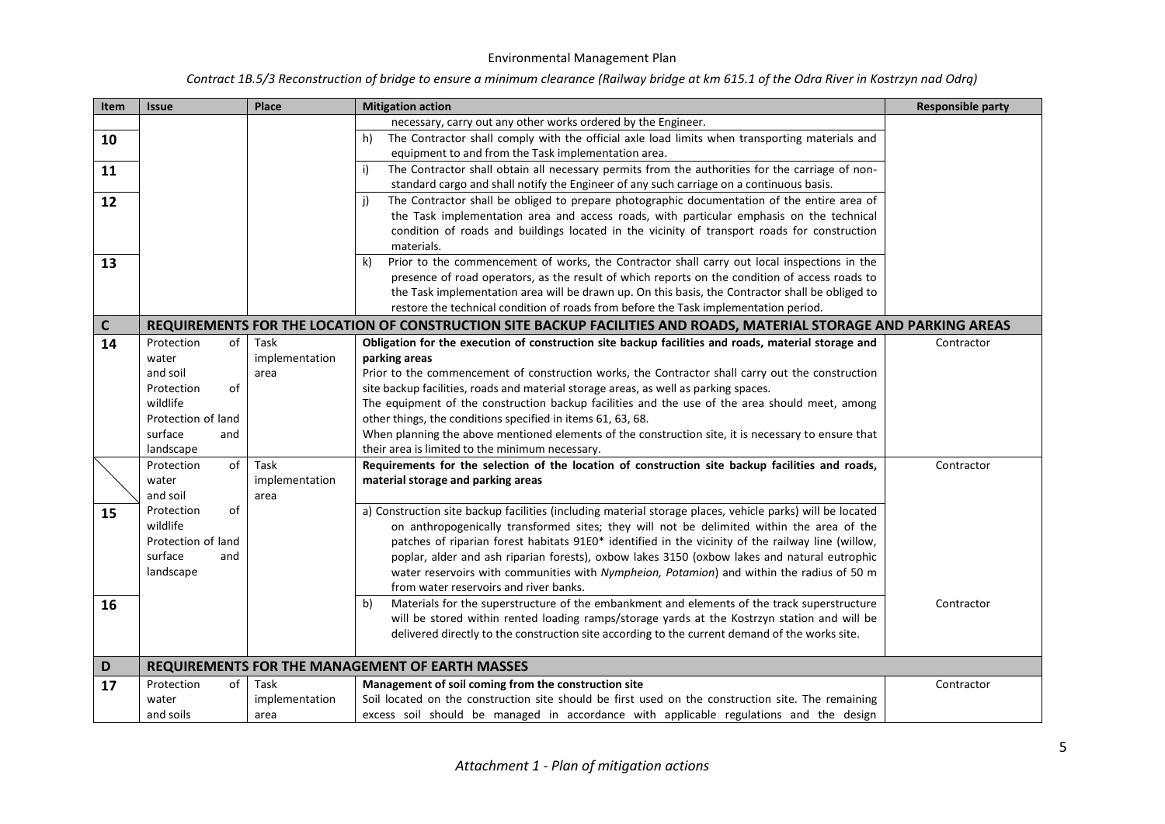| Item | <b>Issue</b>       | Place                  | <b>Mitigation action</b>                                                                                                                                                                      | <b>Responsible party</b> |
|------|--------------------|------------------------|-----------------------------------------------------------------------------------------------------------------------------------------------------------------------------------------------|--------------------------|
|      |                    |                        | necessary, carry out any other works ordered by the Engineer.                                                                                                                                 |                          |
| 10   |                    |                        | The Contractor shall comply with the official axle load limits when transporting materials and<br>h)                                                                                          |                          |
|      |                    |                        | equipment to and from the Task implementation area.                                                                                                                                           |                          |
| 11   |                    |                        | The Contractor shall obtain all necessary permits from the authorities for the carriage of non-<br>i)                                                                                         |                          |
|      |                    |                        | standard cargo and shall notify the Engineer of any such carriage on a continuous basis.<br>The Contractor shall be obliged to prepare photographic documentation of the entire area of<br>i) |                          |
| 12   |                    |                        | the Task implementation area and access roads, with particular emphasis on the technical                                                                                                      |                          |
|      |                    |                        | condition of roads and buildings located in the vicinity of transport roads for construction                                                                                                  |                          |
|      |                    |                        | materials.                                                                                                                                                                                    |                          |
| 13   |                    |                        | Prior to the commencement of works, the Contractor shall carry out local inspections in the<br>k)                                                                                             |                          |
|      |                    |                        | presence of road operators, as the result of which reports on the condition of access roads to                                                                                                |                          |
|      |                    |                        | the Task implementation area will be drawn up. On this basis, the Contractor shall be obliged to                                                                                              |                          |
|      |                    |                        | restore the technical condition of roads from before the Task implementation period.                                                                                                          |                          |
| C    |                    |                        | REQUIREMENTS FOR THE LOCATION OF CONSTRUCTION SITE BACKUP FACILITIES AND ROADS, MATERIAL STORAGE AND PARKING AREAS                                                                            |                          |
| 14   | Protection<br>of   | Task                   | Obligation for the execution of construction site backup facilities and roads, material storage and                                                                                           | Contractor               |
|      | water              | implementation         | parking areas                                                                                                                                                                                 |                          |
|      | and soil           | area                   | Prior to the commencement of construction works, the Contractor shall carry out the construction                                                                                              |                          |
|      | of<br>Protection   |                        | site backup facilities, roads and material storage areas, as well as parking spaces.                                                                                                          |                          |
|      | wildlife           |                        | The equipment of the construction backup facilities and the use of the area should meet, among                                                                                                |                          |
|      | Protection of land |                        | other things, the conditions specified in items 61, 63, 68.                                                                                                                                   |                          |
|      | surface<br>and     |                        | When planning the above mentioned elements of the construction site, it is necessary to ensure that                                                                                           |                          |
|      | landscape          |                        | their area is limited to the minimum necessary.                                                                                                                                               |                          |
|      | of<br>Protection   | Task                   | Requirements for the selection of the location of construction site backup facilities and roads,                                                                                              | Contractor               |
|      | water<br>and soil  | implementation<br>area | material storage and parking areas                                                                                                                                                            |                          |
|      | Protection<br>of   |                        | a) Construction site backup facilities (including material storage places, vehicle parks) will be located                                                                                     |                          |
| 15   | wildlife           |                        | on anthropogenically transformed sites; they will not be delimited within the area of the                                                                                                     |                          |
|      | Protection of land |                        | patches of riparian forest habitats 91E0* identified in the vicinity of the railway line (willow,                                                                                             |                          |
|      | surface<br>and     |                        | poplar, alder and ash riparian forests), oxbow lakes 3150 (oxbow lakes and natural eutrophic                                                                                                  |                          |
|      | landscape          |                        | water reservoirs with communities with Nympheion, Potamion) and within the radius of 50 m                                                                                                     |                          |
|      |                    |                        | from water reservoirs and river banks.                                                                                                                                                        |                          |
| 16   |                    |                        | Materials for the superstructure of the embankment and elements of the track superstructure<br>b)                                                                                             | Contractor               |
|      |                    |                        | will be stored within rented loading ramps/storage yards at the Kostrzyn station and will be                                                                                                  |                          |
|      |                    |                        | delivered directly to the construction site according to the current demand of the works site.                                                                                                |                          |
| D    |                    |                        | <b>REQUIREMENTS FOR THE MANAGEMENT OF EARTH MASSES</b>                                                                                                                                        |                          |
| 17   | Protection<br>οf   | Task                   | Management of soil coming from the construction site                                                                                                                                          | Contractor               |
|      | water              | implementation         | Soil located on the construction site should be first used on the construction site. The remaining                                                                                            |                          |
|      | and soils          | area                   | excess soil should be managed in accordance with applicable regulations and the design                                                                                                        |                          |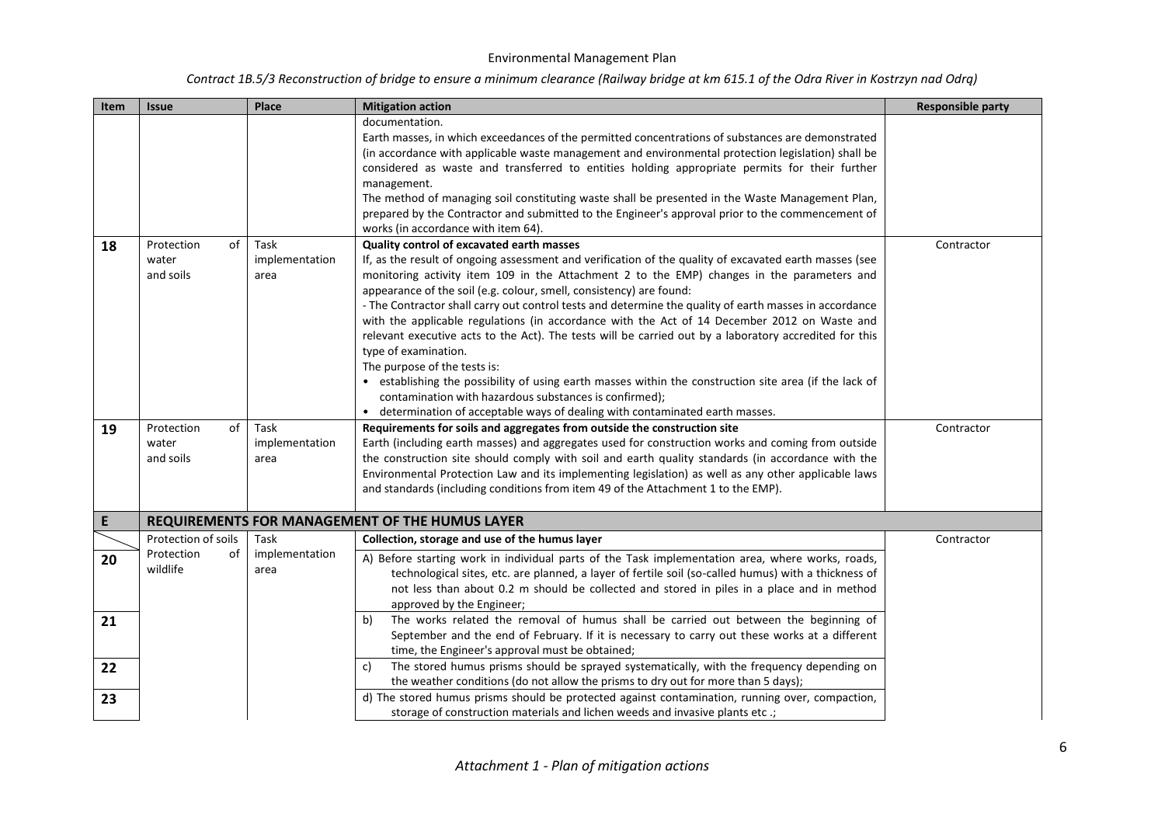| Contract 1B.5/3 Reconstruction of bridge to ensure a minimum clearance (Railway bridge at km 615.1 of the Odra River in Kostrzyn nad Odrą) |  |  |
|--------------------------------------------------------------------------------------------------------------------------------------------|--|--|
|--------------------------------------------------------------------------------------------------------------------------------------------|--|--|

| Item     | <b>Issue</b>                                        | Place                          | <b>Mitigation action</b>                                                                                                                                                                                                                                                                                                                                                                                                                                                                                                                                                                                                                                                                                                                                                                                                                                                                                                                                  | <b>Responsible party</b> |
|----------|-----------------------------------------------------|--------------------------------|-----------------------------------------------------------------------------------------------------------------------------------------------------------------------------------------------------------------------------------------------------------------------------------------------------------------------------------------------------------------------------------------------------------------------------------------------------------------------------------------------------------------------------------------------------------------------------------------------------------------------------------------------------------------------------------------------------------------------------------------------------------------------------------------------------------------------------------------------------------------------------------------------------------------------------------------------------------|--------------------------|
|          |                                                     |                                | documentation.<br>Earth masses, in which exceedances of the permitted concentrations of substances are demonstrated<br>(in accordance with applicable waste management and environmental protection legislation) shall be                                                                                                                                                                                                                                                                                                                                                                                                                                                                                                                                                                                                                                                                                                                                 |                          |
|          |                                                     |                                | considered as waste and transferred to entities holding appropriate permits for their further<br>management.                                                                                                                                                                                                                                                                                                                                                                                                                                                                                                                                                                                                                                                                                                                                                                                                                                              |                          |
|          |                                                     |                                | The method of managing soil constituting waste shall be presented in the Waste Management Plan,<br>prepared by the Contractor and submitted to the Engineer's approval prior to the commencement of<br>works (in accordance with item 64).                                                                                                                                                                                                                                                                                                                                                                                                                                                                                                                                                                                                                                                                                                                |                          |
| 18       | Protection<br>of<br>water<br>and soils              | Task<br>implementation<br>area | Quality control of excavated earth masses<br>If, as the result of ongoing assessment and verification of the quality of excavated earth masses (see<br>monitoring activity item 109 in the Attachment 2 to the EMP) changes in the parameters and<br>appearance of the soil (e.g. colour, smell, consistency) are found:<br>- The Contractor shall carry out control tests and determine the quality of earth masses in accordance<br>with the applicable regulations (in accordance with the Act of 14 December 2012 on Waste and<br>relevant executive acts to the Act). The tests will be carried out by a laboratory accredited for this<br>type of examination.<br>The purpose of the tests is:<br>• establishing the possibility of using earth masses within the construction site area (if the lack of<br>contamination with hazardous substances is confirmed);<br>• determination of acceptable ways of dealing with contaminated earth masses. | Contractor               |
| 19       | of<br>Protection<br>water<br>and soils              | Task<br>implementation<br>area | Requirements for soils and aggregates from outside the construction site<br>Earth (including earth masses) and aggregates used for construction works and coming from outside<br>the construction site should comply with soil and earth quality standards (in accordance with the<br>Environmental Protection Law and its implementing legislation) as well as any other applicable laws<br>and standards (including conditions from item 49 of the Attachment 1 to the EMP).                                                                                                                                                                                                                                                                                                                                                                                                                                                                            | Contractor               |
| E        |                                                     |                                | <b>REQUIREMENTS FOR MANAGEMENT OF THE HUMUS LAYER</b>                                                                                                                                                                                                                                                                                                                                                                                                                                                                                                                                                                                                                                                                                                                                                                                                                                                                                                     |                          |
| 20       | Protection of soils<br>Protection<br>οf<br>wildlife | Task<br>implementation<br>area | Collection, storage and use of the humus layer<br>A) Before starting work in individual parts of the Task implementation area, where works, roads,<br>technological sites, etc. are planned, a layer of fertile soil (so-called humus) with a thickness of<br>not less than about 0.2 m should be collected and stored in piles in a place and in method<br>approved by the Engineer;                                                                                                                                                                                                                                                                                                                                                                                                                                                                                                                                                                     | Contractor               |
| 21       |                                                     |                                | The works related the removal of humus shall be carried out between the beginning of<br>b)<br>September and the end of February. If it is necessary to carry out these works at a different<br>time, the Engineer's approval must be obtained;<br>The stored humus prisms should be sprayed systematically, with the frequency depending on<br>c)                                                                                                                                                                                                                                                                                                                                                                                                                                                                                                                                                                                                         |                          |
| 22<br>23 |                                                     |                                | the weather conditions (do not allow the prisms to dry out for more than 5 days);<br>d) The stored humus prisms should be protected against contamination, running over, compaction,<br>storage of construction materials and lichen weeds and invasive plants etc.;                                                                                                                                                                                                                                                                                                                                                                                                                                                                                                                                                                                                                                                                                      |                          |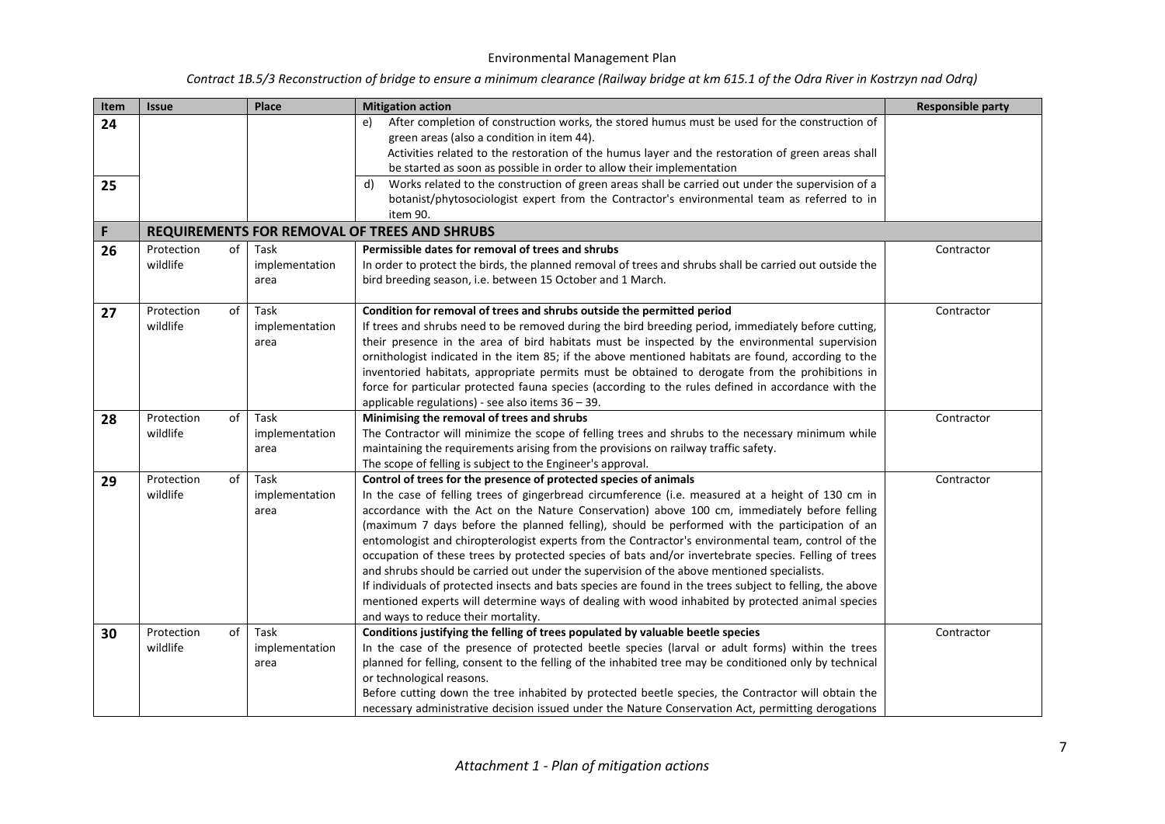| Item | <b>Issue</b>                 | Place                          | <b>Mitigation action</b>                                                                                                                                                                                                                                                                                                                                                                                                                                                                                                                                                                                                                                                                                                                                                                                                                                                                                                                    | <b>Responsible party</b> |
|------|------------------------------|--------------------------------|---------------------------------------------------------------------------------------------------------------------------------------------------------------------------------------------------------------------------------------------------------------------------------------------------------------------------------------------------------------------------------------------------------------------------------------------------------------------------------------------------------------------------------------------------------------------------------------------------------------------------------------------------------------------------------------------------------------------------------------------------------------------------------------------------------------------------------------------------------------------------------------------------------------------------------------------|--------------------------|
| 24   |                              |                                | After completion of construction works, the stored humus must be used for the construction of<br>e)<br>green areas (also a condition in item 44).<br>Activities related to the restoration of the humus layer and the restoration of green areas shall<br>be started as soon as possible in order to allow their implementation                                                                                                                                                                                                                                                                                                                                                                                                                                                                                                                                                                                                             |                          |
| 25   |                              |                                | Works related to the construction of green areas shall be carried out under the supervision of a<br>d)                                                                                                                                                                                                                                                                                                                                                                                                                                                                                                                                                                                                                                                                                                                                                                                                                                      |                          |
|      |                              |                                | botanist/phytosociologist expert from the Contractor's environmental team as referred to in                                                                                                                                                                                                                                                                                                                                                                                                                                                                                                                                                                                                                                                                                                                                                                                                                                                 |                          |
|      |                              |                                | item 90.                                                                                                                                                                                                                                                                                                                                                                                                                                                                                                                                                                                                                                                                                                                                                                                                                                                                                                                                    |                          |
| F    |                              |                                | <b>REQUIREMENTS FOR REMOVAL OF TREES AND SHRUBS</b>                                                                                                                                                                                                                                                                                                                                                                                                                                                                                                                                                                                                                                                                                                                                                                                                                                                                                         |                          |
| 26   | Protection<br>of             | Task                           | Permissible dates for removal of trees and shrubs                                                                                                                                                                                                                                                                                                                                                                                                                                                                                                                                                                                                                                                                                                                                                                                                                                                                                           | Contractor               |
|      | wildlife                     | implementation<br>area         | In order to protect the birds, the planned removal of trees and shrubs shall be carried out outside the<br>bird breeding season, i.e. between 15 October and 1 March.                                                                                                                                                                                                                                                                                                                                                                                                                                                                                                                                                                                                                                                                                                                                                                       |                          |
| 27   | Protection<br>of<br>wildlife | Task<br>implementation<br>area | Condition for removal of trees and shrubs outside the permitted period<br>If trees and shrubs need to be removed during the bird breeding period, immediately before cutting,<br>their presence in the area of bird habitats must be inspected by the environmental supervision<br>ornithologist indicated in the item 85; if the above mentioned habitats are found, according to the<br>inventoried habitats, appropriate permits must be obtained to derogate from the prohibitions in<br>force for particular protected fauna species (according to the rules defined in accordance with the<br>applicable regulations) - see also items $36 - 39$ .                                                                                                                                                                                                                                                                                    | Contractor               |
| 28   | of<br>Protection             | Task                           | Minimising the removal of trees and shrubs                                                                                                                                                                                                                                                                                                                                                                                                                                                                                                                                                                                                                                                                                                                                                                                                                                                                                                  | Contractor               |
|      | wildlife                     | implementation<br>area         | The Contractor will minimize the scope of felling trees and shrubs to the necessary minimum while<br>maintaining the requirements arising from the provisions on railway traffic safety.<br>The scope of felling is subject to the Engineer's approval.                                                                                                                                                                                                                                                                                                                                                                                                                                                                                                                                                                                                                                                                                     |                          |
| 29   | Protection<br>of<br>wildlife | Task<br>implementation<br>area | Control of trees for the presence of protected species of animals<br>In the case of felling trees of gingerbread circumference (i.e. measured at a height of 130 cm in<br>accordance with the Act on the Nature Conservation) above 100 cm, immediately before felling<br>(maximum 7 days before the planned felling), should be performed with the participation of an<br>entomologist and chiropterologist experts from the Contractor's environmental team, control of the<br>occupation of these trees by protected species of bats and/or invertebrate species. Felling of trees<br>and shrubs should be carried out under the supervision of the above mentioned specialists.<br>If individuals of protected insects and bats species are found in the trees subject to felling, the above<br>mentioned experts will determine ways of dealing with wood inhabited by protected animal species<br>and ways to reduce their mortality. | Contractor               |
| 30   | Protection<br>of<br>wildlife | Task<br>implementation<br>area | Conditions justifying the felling of trees populated by valuable beetle species<br>In the case of the presence of protected beetle species (larval or adult forms) within the trees<br>planned for felling, consent to the felling of the inhabited tree may be conditioned only by technical<br>or technological reasons.<br>Before cutting down the tree inhabited by protected beetle species, the Contractor will obtain the<br>necessary administrative decision issued under the Nature Conservation Act, permitting derogations                                                                                                                                                                                                                                                                                                                                                                                                      | Contractor               |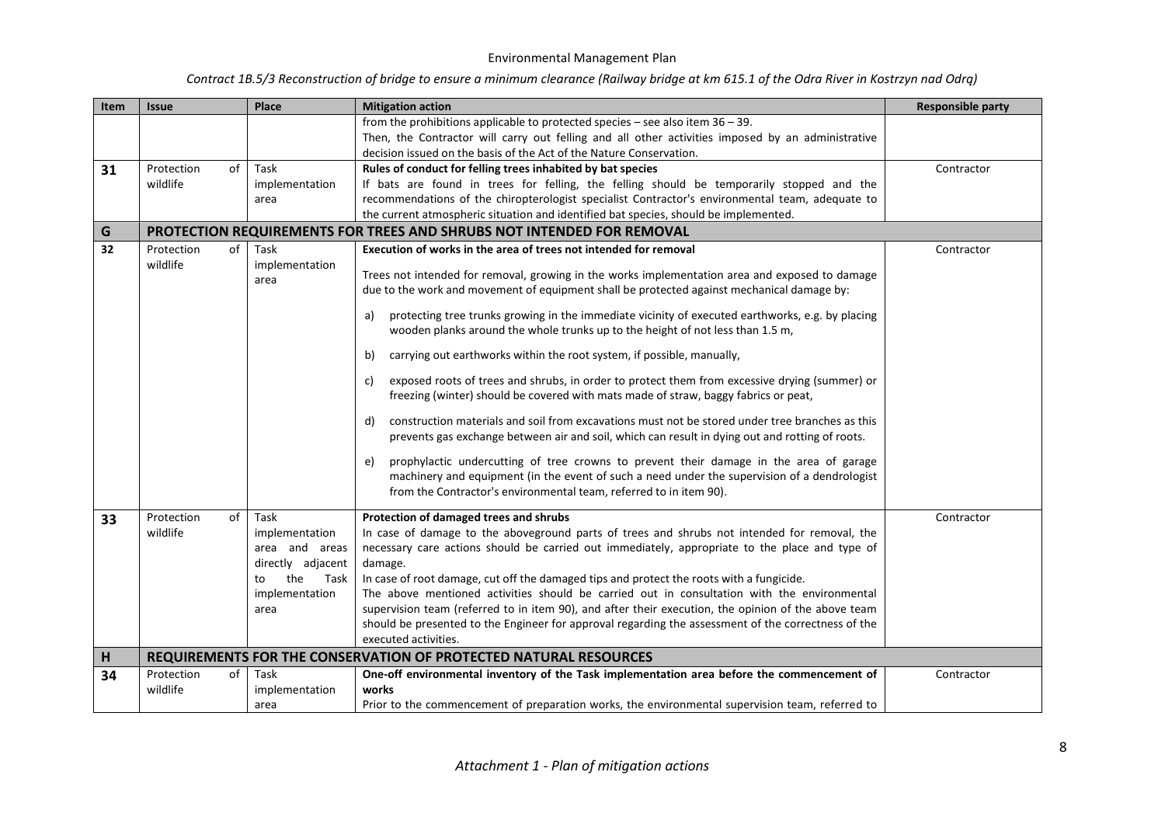| Item | <b>Issue</b>     | Place                                                                      | <b>Mitigation action</b>                                                                                                                                                                                                                                                                              | <b>Responsible party</b> |
|------|------------------|----------------------------------------------------------------------------|-------------------------------------------------------------------------------------------------------------------------------------------------------------------------------------------------------------------------------------------------------------------------------------------------------|--------------------------|
|      |                  |                                                                            | from the prohibitions applicable to protected species $-$ see also item $36 - 39$ .                                                                                                                                                                                                                   |                          |
|      |                  |                                                                            | Then, the Contractor will carry out felling and all other activities imposed by an administrative                                                                                                                                                                                                     |                          |
|      |                  |                                                                            | decision issued on the basis of the Act of the Nature Conservation.                                                                                                                                                                                                                                   |                          |
| 31   | of<br>Protection | Task                                                                       | Rules of conduct for felling trees inhabited by bat species                                                                                                                                                                                                                                           | Contractor               |
|      | wildlife         | implementation                                                             | If bats are found in trees for felling, the felling should be temporarily stopped and the                                                                                                                                                                                                             |                          |
|      |                  | area                                                                       | recommendations of the chiropterologist specialist Contractor's environmental team, adequate to                                                                                                                                                                                                       |                          |
|      |                  |                                                                            | the current atmospheric situation and identified bat species, should be implemented.                                                                                                                                                                                                                  |                          |
| G    |                  |                                                                            | PROTECTION REQUIREMENTS FOR TREES AND SHRUBS NOT INTENDED FOR REMOVAL                                                                                                                                                                                                                                 |                          |
| 32   | Protection<br>of | Task                                                                       | Execution of works in the area of trees not intended for removal                                                                                                                                                                                                                                      | Contractor               |
|      | wildlife         | implementation<br>area                                                     | Trees not intended for removal, growing in the works implementation area and exposed to damage<br>due to the work and movement of equipment shall be protected against mechanical damage by:                                                                                                          |                          |
|      |                  |                                                                            | protecting tree trunks growing in the immediate vicinity of executed earthworks, e.g. by placing<br>a)<br>wooden planks around the whole trunks up to the height of not less than 1.5 m,                                                                                                              |                          |
|      |                  |                                                                            | carrying out earthworks within the root system, if possible, manually,<br>b)                                                                                                                                                                                                                          |                          |
|      |                  |                                                                            | exposed roots of trees and shrubs, in order to protect them from excessive drying (summer) or<br>C)<br>freezing (winter) should be covered with mats made of straw, baggy fabrics or peat,                                                                                                            |                          |
|      |                  |                                                                            | construction materials and soil from excavations must not be stored under tree branches as this<br>d)<br>prevents gas exchange between air and soil, which can result in dying out and rotting of roots.                                                                                              |                          |
|      |                  |                                                                            | prophylactic undercutting of tree crowns to prevent their damage in the area of garage<br>e)<br>machinery and equipment (in the event of such a need under the supervision of a dendrologist<br>from the Contractor's environmental team, referred to in item 90).                                    |                          |
| 33   | of<br>Protection | Task                                                                       | Protection of damaged trees and shrubs                                                                                                                                                                                                                                                                | Contractor               |
|      | wildlife         | implementation<br>area and areas<br>directly adjacent<br>the<br>Task<br>to | In case of damage to the aboveground parts of trees and shrubs not intended for removal, the<br>necessary care actions should be carried out immediately, appropriate to the place and type of<br>damage.<br>In case of root damage, cut off the damaged tips and protect the roots with a fungicide. |                          |
|      |                  | implementation                                                             | The above mentioned activities should be carried out in consultation with the environmental                                                                                                                                                                                                           |                          |
|      |                  | area                                                                       | supervision team (referred to in item 90), and after their execution, the opinion of the above team                                                                                                                                                                                                   |                          |
|      |                  |                                                                            | should be presented to the Engineer for approval regarding the assessment of the correctness of the                                                                                                                                                                                                   |                          |
|      |                  |                                                                            | executed activities.                                                                                                                                                                                                                                                                                  |                          |
| H    |                  |                                                                            | REQUIREMENTS FOR THE CONSERVATION OF PROTECTED NATURAL RESOURCES                                                                                                                                                                                                                                      |                          |
| 34   | of<br>Protection | Task                                                                       | One-off environmental inventory of the Task implementation area before the commencement of                                                                                                                                                                                                            | Contractor               |
|      | wildlife         | implementation                                                             | works                                                                                                                                                                                                                                                                                                 |                          |
|      |                  | area                                                                       | Prior to the commencement of preparation works, the environmental supervision team, referred to                                                                                                                                                                                                       |                          |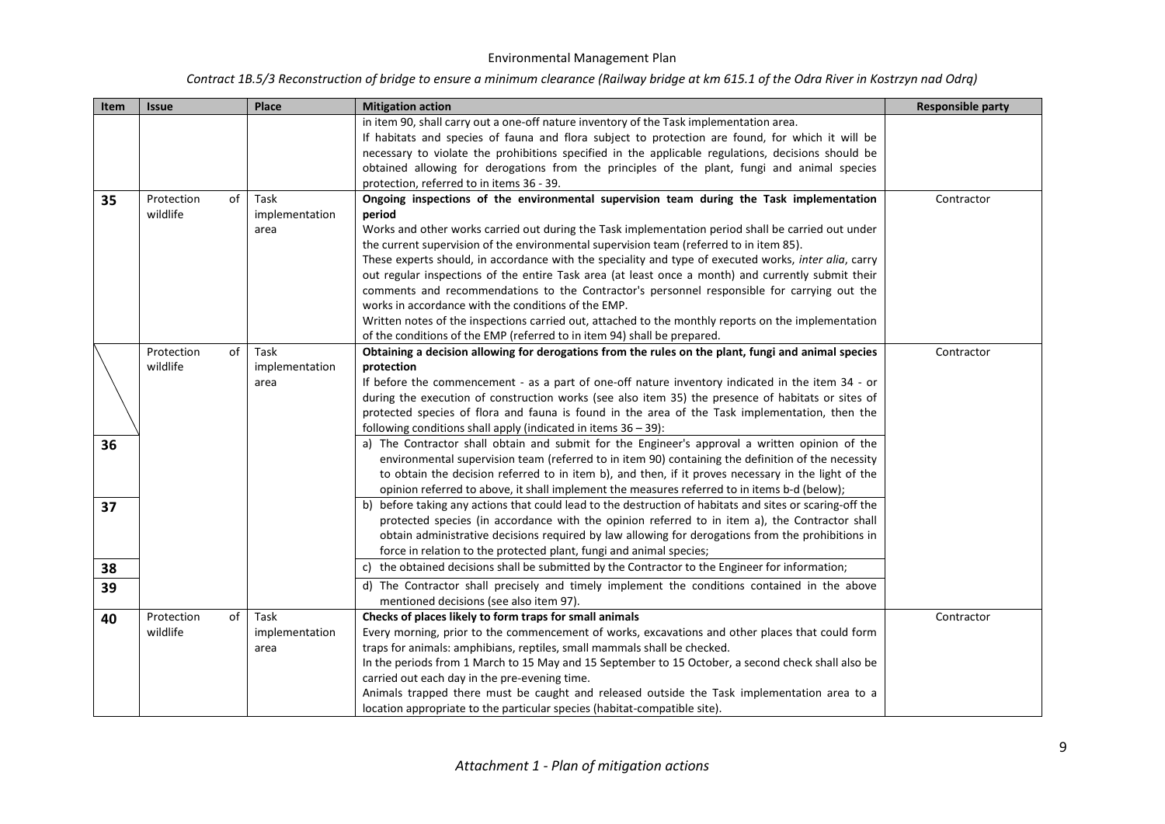| Item | <b>Issue</b>     | Place          | <b>Mitigation action</b>                                                                                 | <b>Responsible party</b> |
|------|------------------|----------------|----------------------------------------------------------------------------------------------------------|--------------------------|
|      |                  |                | in item 90, shall carry out a one-off nature inventory of the Task implementation area.                  |                          |
|      |                  |                | If habitats and species of fauna and flora subject to protection are found, for which it will be         |                          |
|      |                  |                | necessary to violate the prohibitions specified in the applicable regulations, decisions should be       |                          |
|      |                  |                | obtained allowing for derogations from the principles of the plant, fungi and animal species             |                          |
|      |                  |                | protection, referred to in items 36 - 39.                                                                |                          |
| 35   | of<br>Protection | Task           | Ongoing inspections of the environmental supervision team during the Task implementation                 | Contractor               |
|      | wildlife         | implementation | period                                                                                                   |                          |
|      |                  | area           | Works and other works carried out during the Task implementation period shall be carried out under       |                          |
|      |                  |                | the current supervision of the environmental supervision team (referred to in item 85).                  |                          |
|      |                  |                | These experts should, in accordance with the speciality and type of executed works, inter alia, carry    |                          |
|      |                  |                | out regular inspections of the entire Task area (at least once a month) and currently submit their       |                          |
|      |                  |                | comments and recommendations to the Contractor's personnel responsible for carrying out the              |                          |
|      |                  |                | works in accordance with the conditions of the EMP.                                                      |                          |
|      |                  |                | Written notes of the inspections carried out, attached to the monthly reports on the implementation      |                          |
|      |                  |                | of the conditions of the EMP (referred to in item 94) shall be prepared.                                 |                          |
|      | Protection<br>of | Task           | Obtaining a decision allowing for derogations from the rules on the plant, fungi and animal species      | Contractor               |
|      | wildlife         | implementation | protection                                                                                               |                          |
|      |                  | area           | If before the commencement - as a part of one-off nature inventory indicated in the item 34 - or         |                          |
|      |                  |                | during the execution of construction works (see also item 35) the presence of habitats or sites of       |                          |
|      |                  |                | protected species of flora and fauna is found in the area of the Task implementation, then the           |                          |
|      |                  |                | following conditions shall apply (indicated in items $36 - 39$ ):                                        |                          |
| 36   |                  |                | a) The Contractor shall obtain and submit for the Engineer's approval a written opinion of the           |                          |
|      |                  |                | environmental supervision team (referred to in item 90) containing the definition of the necessity       |                          |
|      |                  |                | to obtain the decision referred to in item b), and then, if it proves necessary in the light of the      |                          |
|      |                  |                | opinion referred to above, it shall implement the measures referred to in items b-d (below);             |                          |
| 37   |                  |                | b) before taking any actions that could lead to the destruction of habitats and sites or scaring-off the |                          |
|      |                  |                | protected species (in accordance with the opinion referred to in item a), the Contractor shall           |                          |
|      |                  |                | obtain administrative decisions required by law allowing for derogations from the prohibitions in        |                          |
|      |                  |                | force in relation to the protected plant, fungi and animal species;                                      |                          |
| 38   |                  |                | c) the obtained decisions shall be submitted by the Contractor to the Engineer for information;          |                          |
| 39   |                  |                | d) The Contractor shall precisely and timely implement the conditions contained in the above             |                          |
|      |                  |                | mentioned decisions (see also item 97).                                                                  |                          |
| 40   | of<br>Protection | Task           | Checks of places likely to form traps for small animals                                                  | Contractor               |
|      | wildlife         | implementation | Every morning, prior to the commencement of works, excavations and other places that could form          |                          |
|      |                  | area           | traps for animals: amphibians, reptiles, small mammals shall be checked.                                 |                          |
|      |                  |                | In the periods from 1 March to 15 May and 15 September to 15 October, a second check shall also be       |                          |
|      |                  |                | carried out each day in the pre-evening time.                                                            |                          |
|      |                  |                | Animals trapped there must be caught and released outside the Task implementation area to a              |                          |
|      |                  |                | location appropriate to the particular species (habitat-compatible site).                                |                          |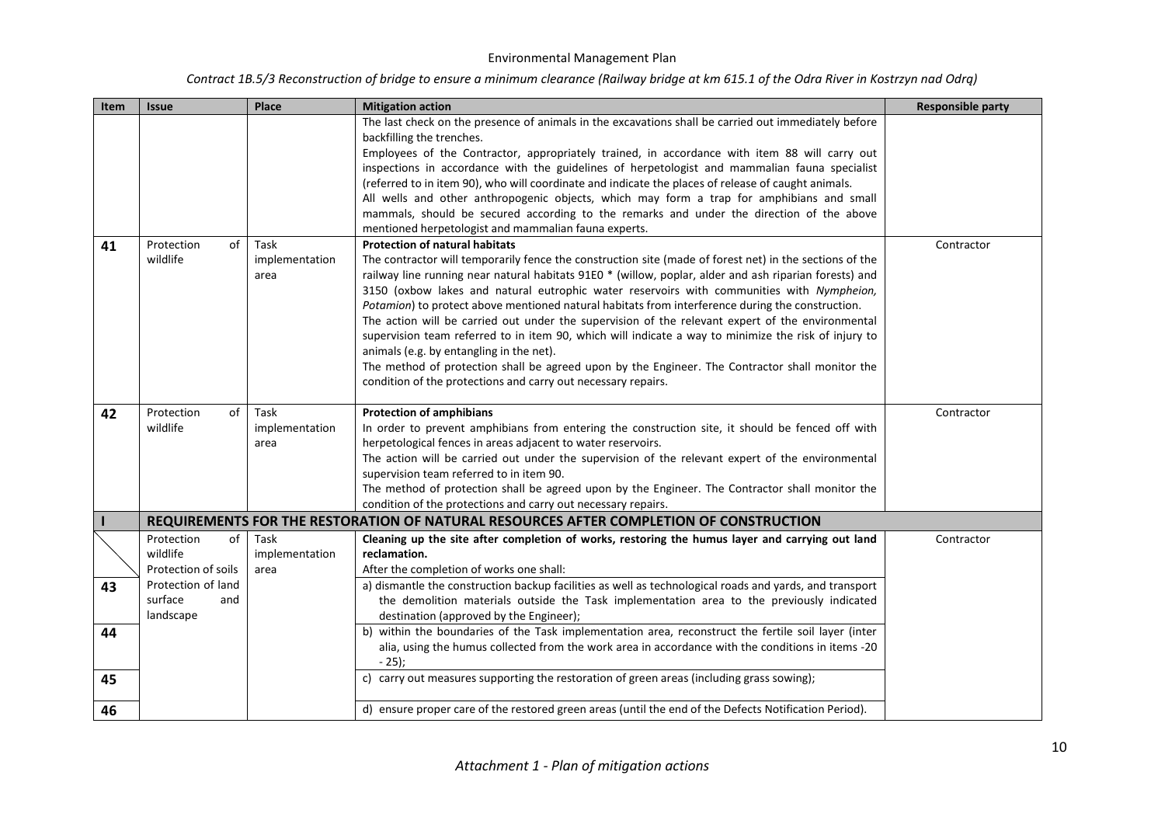| Contract 1B.5/3 Reconstruction of bridge to ensure a minimum clearance (Railway bridge at km 615.1 of the Odra River in Kostrzyn nad Odrą) |  |  |
|--------------------------------------------------------------------------------------------------------------------------------------------|--|--|
|--------------------------------------------------------------------------------------------------------------------------------------------|--|--|

| Item | <b>Issue</b>        | Place          | <b>Mitigation action</b>                                                                                | <b>Responsible party</b> |
|------|---------------------|----------------|---------------------------------------------------------------------------------------------------------|--------------------------|
|      |                     |                | The last check on the presence of animals in the excavations shall be carried out immediately before    |                          |
|      |                     |                | backfilling the trenches.                                                                               |                          |
|      |                     |                | Employees of the Contractor, appropriately trained, in accordance with item 88 will carry out           |                          |
|      |                     |                | inspections in accordance with the guidelines of herpetologist and mammalian fauna specialist           |                          |
|      |                     |                | (referred to in item 90), who will coordinate and indicate the places of release of caught animals.     |                          |
|      |                     |                | All wells and other anthropogenic objects, which may form a trap for amphibians and small               |                          |
|      |                     |                | mammals, should be secured according to the remarks and under the direction of the above                |                          |
|      |                     |                | mentioned herpetologist and mammalian fauna experts.                                                    |                          |
| 41   | Protection<br>of    | Task           | <b>Protection of natural habitats</b>                                                                   | Contractor               |
|      | wildlife            | implementation | The contractor will temporarily fence the construction site (made of forest net) in the sections of the |                          |
|      |                     | area           | railway line running near natural habitats 91E0 * (willow, poplar, alder and ash riparian forests) and  |                          |
|      |                     |                | 3150 (oxbow lakes and natural eutrophic water reservoirs with communities with Nympheion,               |                          |
|      |                     |                | Potamion) to protect above mentioned natural habitats from interference during the construction.        |                          |
|      |                     |                | The action will be carried out under the supervision of the relevant expert of the environmental        |                          |
|      |                     |                | supervision team referred to in item 90, which will indicate a way to minimize the risk of injury to    |                          |
|      |                     |                | animals (e.g. by entangling in the net).                                                                |                          |
|      |                     |                | The method of protection shall be agreed upon by the Engineer. The Contractor shall monitor the         |                          |
|      |                     |                | condition of the protections and carry out necessary repairs.                                           |                          |
| 42   | Protection<br>of    | Task           | <b>Protection of amphibians</b>                                                                         | Contractor               |
|      | wildlife            | implementation | In order to prevent amphibians from entering the construction site, it should be fenced off with        |                          |
|      |                     | area           | herpetological fences in areas adjacent to water reservoirs.                                            |                          |
|      |                     |                | The action will be carried out under the supervision of the relevant expert of the environmental        |                          |
|      |                     |                | supervision team referred to in item 90.                                                                |                          |
|      |                     |                | The method of protection shall be agreed upon by the Engineer. The Contractor shall monitor the         |                          |
|      |                     |                | condition of the protections and carry out necessary repairs.                                           |                          |
|      |                     |                | REQUIREMENTS FOR THE RESTORATION OF NATURAL RESOURCES AFTER COMPLETION OF CONSTRUCTION                  |                          |
|      | Protection<br>of    | Task           | Cleaning up the site after completion of works, restoring the humus layer and carrying out land         | Contractor               |
|      | wildlife            | implementation | reclamation.                                                                                            |                          |
|      | Protection of soils | area           | After the completion of works one shall:                                                                |                          |
| 43   | Protection of land  |                | a) dismantle the construction backup facilities as well as technological roads and yards, and transport |                          |
|      | surface<br>and      |                | the demolition materials outside the Task implementation area to the previously indicated               |                          |
|      | landscape           |                | destination (approved by the Engineer);                                                                 |                          |
| 44   |                     |                | b) within the boundaries of the Task implementation area, reconstruct the fertile soil layer (inter     |                          |
|      |                     |                | alia, using the humus collected from the work area in accordance with the conditions in items -20       |                          |
|      |                     |                | $-25$ ;                                                                                                 |                          |
| 45   |                     |                | c) carry out measures supporting the restoration of green areas (including grass sowing);               |                          |
|      |                     |                |                                                                                                         |                          |
| 46   |                     |                | d) ensure proper care of the restored green areas (until the end of the Defects Notification Period).   |                          |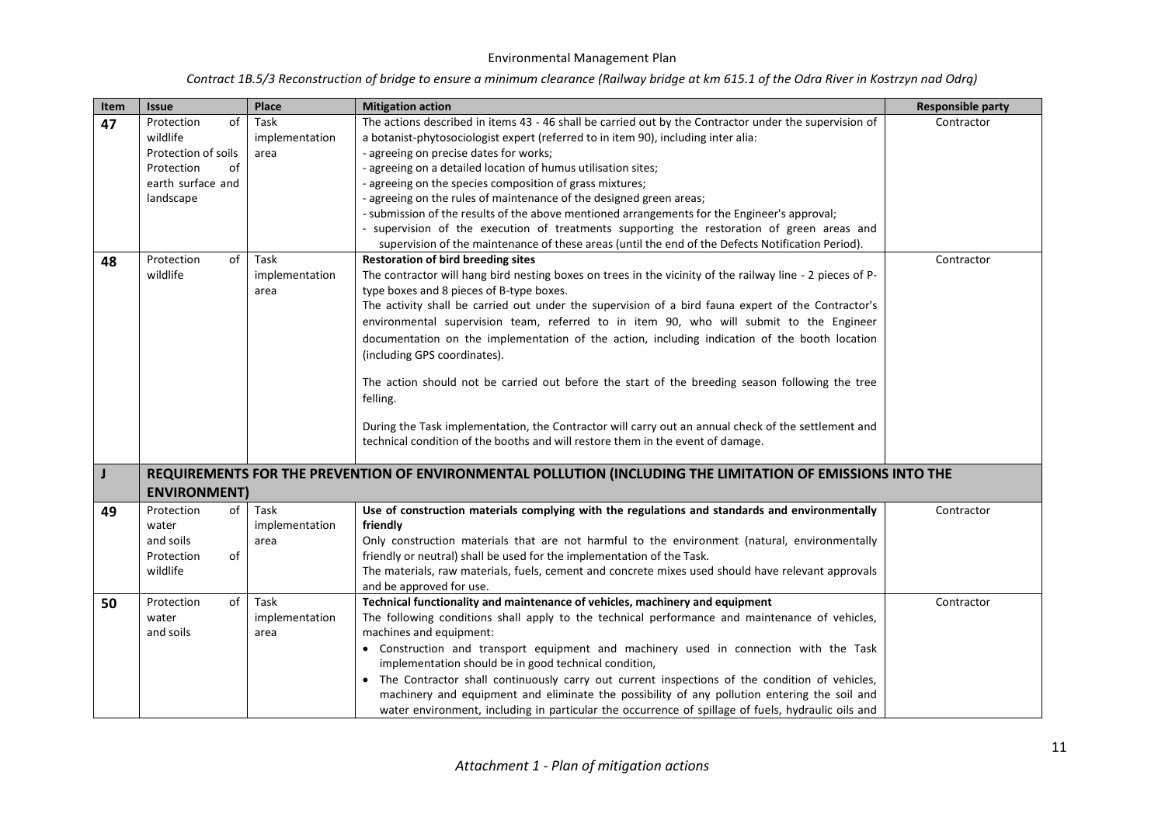| Contract 1B.5/3 Reconstruction of bridge to ensure a minimum clearance (Railway bridge at km 615.1 of the Odra River in Kostrzyn nad Odrą) |  |
|--------------------------------------------------------------------------------------------------------------------------------------------|--|
|--------------------------------------------------------------------------------------------------------------------------------------------|--|

| Item     | <b>Issue</b>                                                                                                                              | Place                                                            | <b>Mitigation action</b>                                                                                                                                                                                                                                                                                                                                                                                                                                                                                                                                                                                                                                                                                                                                                                                                                                                                                                                                                                                                                                                                                                                                                                                                                                                                                                                                                                                                                                                                                    | <b>Responsible party</b> |
|----------|-------------------------------------------------------------------------------------------------------------------------------------------|------------------------------------------------------------------|-------------------------------------------------------------------------------------------------------------------------------------------------------------------------------------------------------------------------------------------------------------------------------------------------------------------------------------------------------------------------------------------------------------------------------------------------------------------------------------------------------------------------------------------------------------------------------------------------------------------------------------------------------------------------------------------------------------------------------------------------------------------------------------------------------------------------------------------------------------------------------------------------------------------------------------------------------------------------------------------------------------------------------------------------------------------------------------------------------------------------------------------------------------------------------------------------------------------------------------------------------------------------------------------------------------------------------------------------------------------------------------------------------------------------------------------------------------------------------------------------------------|--------------------------|
| 47<br>48 | of<br>Protection<br>wildlife<br>Protection of soils<br>Protection<br>of<br>earth surface and<br>landscape<br>Protection<br>of<br>wildlife | Task<br>implementation<br>area<br>Task<br>implementation<br>area | The actions described in items 43 - 46 shall be carried out by the Contractor under the supervision of<br>a botanist-phytosociologist expert (referred to in item 90), including inter alia:<br>- agreeing on precise dates for works;<br>- agreeing on a detailed location of humus utilisation sites;<br>- agreeing on the species composition of grass mixtures;<br>- agreeing on the rules of maintenance of the designed green areas;<br>- submission of the results of the above mentioned arrangements for the Engineer's approval;<br>- supervision of the execution of treatments supporting the restoration of green areas and<br>supervision of the maintenance of these areas (until the end of the Defects Notification Period).<br><b>Restoration of bird breeding sites</b><br>The contractor will hang bird nesting boxes on trees in the vicinity of the railway line - 2 pieces of P-<br>type boxes and 8 pieces of B-type boxes.<br>The activity shall be carried out under the supervision of a bird fauna expert of the Contractor's<br>environmental supervision team, referred to in item 90, who will submit to the Engineer<br>documentation on the implementation of the action, including indication of the booth location<br>(including GPS coordinates).<br>The action should not be carried out before the start of the breeding season following the tree<br>felling.<br>During the Task implementation, the Contractor will carry out an annual check of the settlement and | Contractor<br>Contractor |
|          |                                                                                                                                           |                                                                  | technical condition of the booths and will restore them in the event of damage.                                                                                                                                                                                                                                                                                                                                                                                                                                                                                                                                                                                                                                                                                                                                                                                                                                                                                                                                                                                                                                                                                                                                                                                                                                                                                                                                                                                                                             |                          |
| J        | <b>ENVIRONMENT</b>                                                                                                                        |                                                                  | REQUIREMENTS FOR THE PREVENTION OF ENVIRONMENTAL POLLUTION (INCLUDING THE LIMITATION OF EMISSIONS INTO THE                                                                                                                                                                                                                                                                                                                                                                                                                                                                                                                                                                                                                                                                                                                                                                                                                                                                                                                                                                                                                                                                                                                                                                                                                                                                                                                                                                                                  |                          |
| 49       | Protection<br>of<br>water<br>and soils<br>of<br>Protection<br>wildlife                                                                    | Task<br>implementation<br>area                                   | Use of construction materials complying with the regulations and standards and environmentally<br>friendly<br>Only construction materials that are not harmful to the environment (natural, environmentally<br>friendly or neutral) shall be used for the implementation of the Task.<br>The materials, raw materials, fuels, cement and concrete mixes used should have relevant approvals<br>and be approved for use.                                                                                                                                                                                                                                                                                                                                                                                                                                                                                                                                                                                                                                                                                                                                                                                                                                                                                                                                                                                                                                                                                     | Contractor               |
| 50       | Protection<br>of<br>water<br>and soils                                                                                                    | Task<br>implementation<br>area                                   | Technical functionality and maintenance of vehicles, machinery and equipment<br>The following conditions shall apply to the technical performance and maintenance of vehicles,<br>machines and equipment:<br>• Construction and transport equipment and machinery used in connection with the Task<br>implementation should be in good technical condition,<br>• The Contractor shall continuously carry out current inspections of the condition of vehicles,<br>machinery and equipment and eliminate the possibility of any pollution entering the soil and<br>water environment, including in particular the occurrence of spillage of fuels, hydraulic oils and                                                                                                                                                                                                                                                                                                                                                                                                                                                                                                                                                                                                                                                                                                                                                                                                                                        | Contractor               |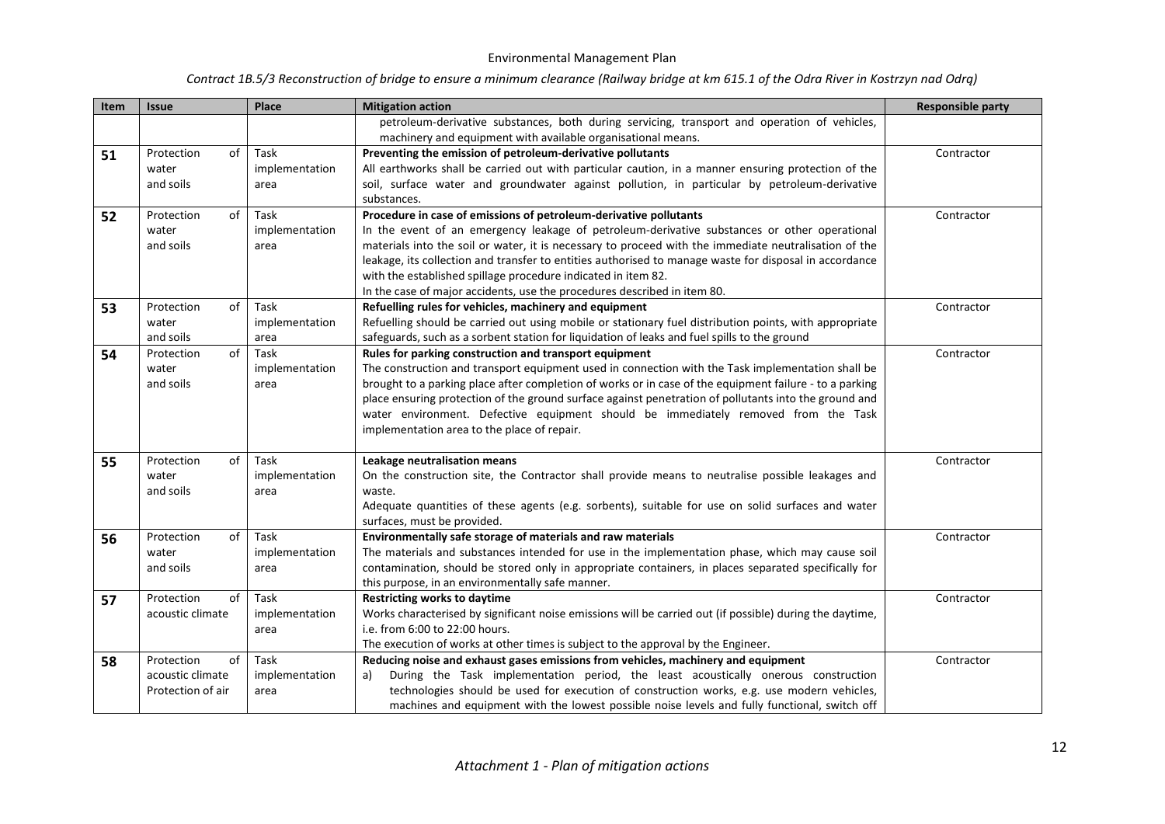| Contract 1B.5/3 Reconstruction of bridge to ensure a minimum clearance (Railway bridge at km 615.1 of the Odra River in Kostrzyn nad Odrą) |  |  |  |
|--------------------------------------------------------------------------------------------------------------------------------------------|--|--|--|
|--------------------------------------------------------------------------------------------------------------------------------------------|--|--|--|

| Item | <b>Issue</b>      | Place          | <b>Mitigation action</b>                                                                                 | <b>Responsible party</b> |
|------|-------------------|----------------|----------------------------------------------------------------------------------------------------------|--------------------------|
|      |                   |                | petroleum-derivative substances, both during servicing, transport and operation of vehicles,             |                          |
|      |                   |                | machinery and equipment with available organisational means.                                             |                          |
| 51   | Protection<br>of  | Task           | Preventing the emission of petroleum-derivative pollutants                                               | Contractor               |
|      | water             | implementation | All earthworks shall be carried out with particular caution, in a manner ensuring protection of the      |                          |
|      | and soils         | area           | soil, surface water and groundwater against pollution, in particular by petroleum-derivative             |                          |
|      |                   |                | substances.                                                                                              |                          |
| 52   | Protection<br>of  | Task           | Procedure in case of emissions of petroleum-derivative pollutants                                        | Contractor               |
|      | water             | implementation | In the event of an emergency leakage of petroleum-derivative substances or other operational             |                          |
|      | and soils         | area           | materials into the soil or water, it is necessary to proceed with the immediate neutralisation of the    |                          |
|      |                   |                | leakage, its collection and transfer to entities authorised to manage waste for disposal in accordance   |                          |
|      |                   |                | with the established spillage procedure indicated in item 82.                                            |                          |
|      |                   |                | In the case of major accidents, use the procedures described in item 80.                                 |                          |
| 53   | of<br>Protection  | Task           | Refuelling rules for vehicles, machinery and equipment                                                   | Contractor               |
|      | water             | implementation | Refuelling should be carried out using mobile or stationary fuel distribution points, with appropriate   |                          |
|      | and soils         | area           | safeguards, such as a sorbent station for liquidation of leaks and fuel spills to the ground             |                          |
| 54   | of<br>Protection  | Task           | Rules for parking construction and transport equipment                                                   | Contractor               |
|      | water             | implementation | The construction and transport equipment used in connection with the Task implementation shall be        |                          |
|      | and soils         | area           | brought to a parking place after completion of works or in case of the equipment failure - to a parking  |                          |
|      |                   |                | place ensuring protection of the ground surface against penetration of pollutants into the ground and    |                          |
|      |                   |                | water environment. Defective equipment should be immediately removed from the Task                       |                          |
|      |                   |                | implementation area to the place of repair.                                                              |                          |
| 55   | Protection<br>of  | Task           | Leakage neutralisation means                                                                             | Contractor               |
|      | water             | implementation | On the construction site, the Contractor shall provide means to neutralise possible leakages and         |                          |
|      | and soils         | area           | waste.                                                                                                   |                          |
|      |                   |                | Adequate quantities of these agents (e.g. sorbents), suitable for use on solid surfaces and water        |                          |
|      |                   |                | surfaces, must be provided.                                                                              |                          |
| 56   | of<br>Protection  | Task           | Environmentally safe storage of materials and raw materials                                              | Contractor               |
|      | water             | implementation | The materials and substances intended for use in the implementation phase, which may cause soil          |                          |
|      | and soils         | area           | contamination, should be stored only in appropriate containers, in places separated specifically for     |                          |
|      |                   |                | this purpose, in an environmentally safe manner.                                                         |                          |
| 57   | of<br>Protection  | Task           | <b>Restricting works to daytime</b>                                                                      | Contractor               |
|      | acoustic climate  | implementation | Works characterised by significant noise emissions will be carried out (if possible) during the daytime, |                          |
|      |                   | area           | i.e. from 6:00 to 22:00 hours.                                                                           |                          |
|      |                   |                | The execution of works at other times is subject to the approval by the Engineer.                        |                          |
| 58   | Protection<br>of  | Task           | Reducing noise and exhaust gases emissions from vehicles, machinery and equipment                        | Contractor               |
|      | acoustic climate  | implementation | During the Task implementation period, the least acoustically onerous construction<br>a)                 |                          |
|      | Protection of air | area           | technologies should be used for execution of construction works, e.g. use modern vehicles,               |                          |
|      |                   |                | machines and equipment with the lowest possible noise levels and fully functional, switch off            |                          |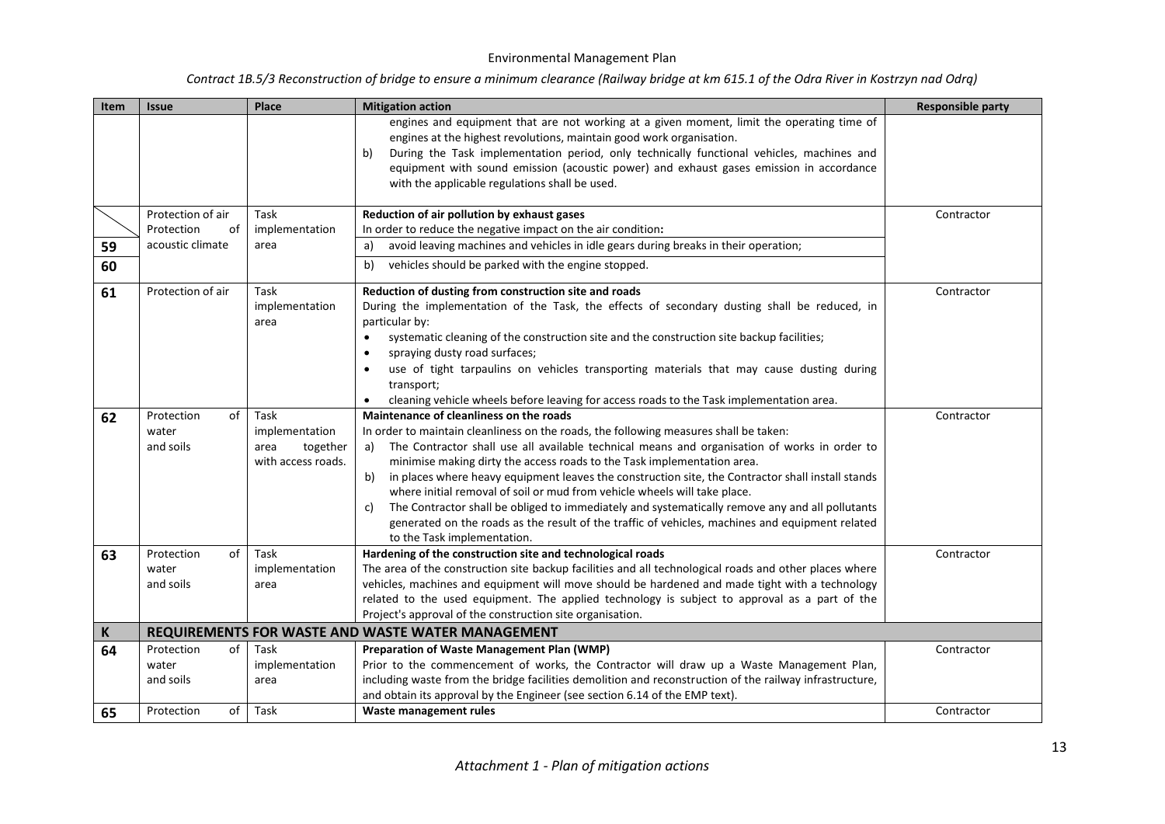| Item        | <b>Issue</b>                           | Place                                                            | <b>Mitigation action</b>                                                                                                                                                                                                                                                                                                                                                                                                                                                                                                                                                                                                                                                                                                                             | <b>Responsible party</b> |
|-------------|----------------------------------------|------------------------------------------------------------------|------------------------------------------------------------------------------------------------------------------------------------------------------------------------------------------------------------------------------------------------------------------------------------------------------------------------------------------------------------------------------------------------------------------------------------------------------------------------------------------------------------------------------------------------------------------------------------------------------------------------------------------------------------------------------------------------------------------------------------------------------|--------------------------|
|             |                                        |                                                                  | engines and equipment that are not working at a given moment, limit the operating time of<br>engines at the highest revolutions, maintain good work organisation.<br>During the Task implementation period, only technically functional vehicles, machines and<br>b)<br>equipment with sound emission (acoustic power) and exhaust gases emission in accordance<br>with the applicable regulations shall be used.                                                                                                                                                                                                                                                                                                                                    |                          |
|             | Protection of air                      | Task                                                             | Reduction of air pollution by exhaust gases                                                                                                                                                                                                                                                                                                                                                                                                                                                                                                                                                                                                                                                                                                          | Contractor               |
|             | Protection<br>of                       | implementation                                                   | In order to reduce the negative impact on the air condition:                                                                                                                                                                                                                                                                                                                                                                                                                                                                                                                                                                                                                                                                                         |                          |
| 59          | acoustic climate                       | area                                                             | avoid leaving machines and vehicles in idle gears during breaks in their operation;<br>a)                                                                                                                                                                                                                                                                                                                                                                                                                                                                                                                                                                                                                                                            |                          |
| 60          |                                        |                                                                  | vehicles should be parked with the engine stopped.<br>b)                                                                                                                                                                                                                                                                                                                                                                                                                                                                                                                                                                                                                                                                                             |                          |
| 61          | Protection of air                      | Task<br>implementation<br>area                                   | Reduction of dusting from construction site and roads<br>During the implementation of the Task, the effects of secondary dusting shall be reduced, in<br>particular by:<br>systematic cleaning of the construction site and the construction site backup facilities;<br>$\bullet$<br>spraying dusty road surfaces;<br>$\bullet$<br>use of tight tarpaulins on vehicles transporting materials that may cause dusting during<br>transport;<br>cleaning vehicle wheels before leaving for access roads to the Task implementation area.                                                                                                                                                                                                                | Contractor               |
| 62          | of<br>Protection<br>water<br>and soils | Task<br>implementation<br>area<br>together<br>with access roads. | Maintenance of cleanliness on the roads<br>In order to maintain cleanliness on the roads, the following measures shall be taken:<br>The Contractor shall use all available technical means and organisation of works in order to<br>a)<br>minimise making dirty the access roads to the Task implementation area.<br>in places where heavy equipment leaves the construction site, the Contractor shall install stands<br>b)<br>where initial removal of soil or mud from vehicle wheels will take place.<br>The Contractor shall be obliged to immediately and systematically remove any and all pollutants<br>c)<br>generated on the roads as the result of the traffic of vehicles, machines and equipment related<br>to the Task implementation. | Contractor               |
| 63          | Protection<br>of<br>water<br>and soils | Task<br>implementation<br>area                                   | Hardening of the construction site and technological roads<br>The area of the construction site backup facilities and all technological roads and other places where<br>vehicles, machines and equipment will move should be hardened and made tight with a technology<br>related to the used equipment. The applied technology is subject to approval as a part of the<br>Project's approval of the construction site organisation.                                                                                                                                                                                                                                                                                                                 | Contractor               |
| $\mathbf K$ |                                        |                                                                  | REQUIREMENTS FOR WASTE AND WASTE WATER MANAGEMENT                                                                                                                                                                                                                                                                                                                                                                                                                                                                                                                                                                                                                                                                                                    |                          |
| 64          | Protection<br>of<br>water<br>and soils | Task<br>implementation<br>area                                   | Preparation of Waste Management Plan (WMP)<br>Prior to the commencement of works, the Contractor will draw up a Waste Management Plan,<br>including waste from the bridge facilities demolition and reconstruction of the railway infrastructure,<br>and obtain its approval by the Engineer (see section 6.14 of the EMP text).                                                                                                                                                                                                                                                                                                                                                                                                                     | Contractor               |
| 65          | of<br>Protection                       | Task                                                             | Waste management rules                                                                                                                                                                                                                                                                                                                                                                                                                                                                                                                                                                                                                                                                                                                               | Contractor               |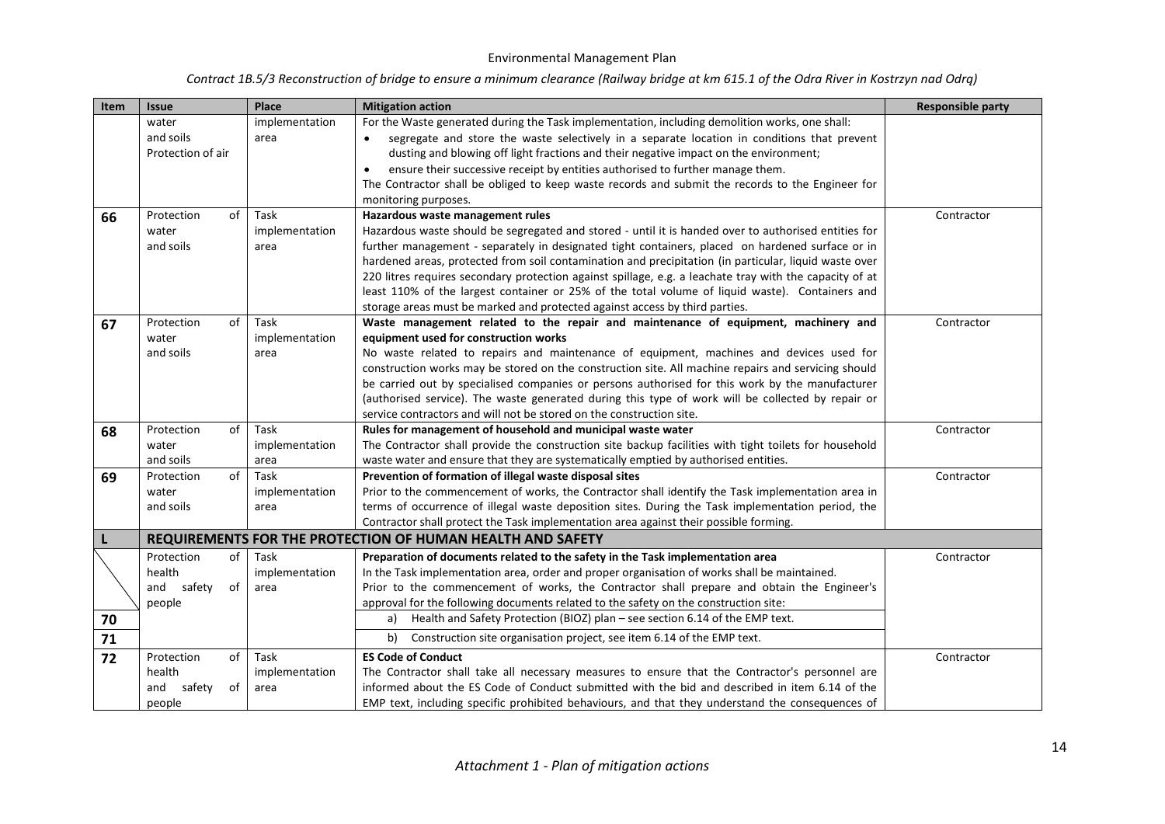| <b>Item</b> | <b>Issue</b>                                                | Place                          | <b>Mitigation action</b>                                                                                                                                                                                                                                                                                                                                                                                                                                                                                                                                                                                                                           | <b>Responsible party</b> |
|-------------|-------------------------------------------------------------|--------------------------------|----------------------------------------------------------------------------------------------------------------------------------------------------------------------------------------------------------------------------------------------------------------------------------------------------------------------------------------------------------------------------------------------------------------------------------------------------------------------------------------------------------------------------------------------------------------------------------------------------------------------------------------------------|--------------------------|
|             | water<br>and soils<br>Protection of air                     | implementation<br>area         | For the Waste generated during the Task implementation, including demolition works, one shall:<br>segregate and store the waste selectively in a separate location in conditions that prevent<br>dusting and blowing off light fractions and their negative impact on the environment;<br>ensure their successive receipt by entities authorised to further manage them.<br>$\bullet$<br>The Contractor shall be obliged to keep waste records and submit the records to the Engineer for<br>monitoring purposes.                                                                                                                                  |                          |
| 66          | Protection<br>of<br>water<br>and soils                      | Task<br>implementation<br>area | Hazardous waste management rules<br>Hazardous waste should be segregated and stored - until it is handed over to authorised entities for<br>further management - separately in designated tight containers, placed on hardened surface or in<br>hardened areas, protected from soil contamination and precipitation (in particular, liquid waste over<br>220 litres requires secondary protection against spillage, e.g. a leachate tray with the capacity of at<br>least 110% of the largest container or 25% of the total volume of liquid waste). Containers and<br>storage areas must be marked and protected against access by third parties. | Contractor               |
| 67          | Protection<br>οf<br>water<br>and soils                      | Task<br>implementation<br>area | Waste management related to the repair and maintenance of equipment, machinery and<br>equipment used for construction works<br>No waste related to repairs and maintenance of equipment, machines and devices used for<br>construction works may be stored on the construction site. All machine repairs and servicing should<br>be carried out by specialised companies or persons authorised for this work by the manufacturer<br>(authorised service). The waste generated during this type of work will be collected by repair or<br>service contractors and will not be stored on the construction site.                                      | Contractor               |
| 68          | of<br>Protection<br>water<br>and soils                      | Task<br>implementation<br>area | Rules for management of household and municipal waste water<br>The Contractor shall provide the construction site backup facilities with tight toilets for household<br>waste water and ensure that they are systematically emptied by authorised entities.                                                                                                                                                                                                                                                                                                                                                                                        | Contractor               |
| 69          | of<br>Protection<br>water<br>and soils                      | Task<br>implementation<br>area | Prevention of formation of illegal waste disposal sites<br>Prior to the commencement of works, the Contractor shall identify the Task implementation area in<br>terms of occurrence of illegal waste deposition sites. During the Task implementation period, the<br>Contractor shall protect the Task implementation area against their possible forming.                                                                                                                                                                                                                                                                                         | Contractor               |
|             |                                                             |                                | REQUIREMENTS FOR THE PROTECTION OF HUMAN HEALTH AND SAFETY                                                                                                                                                                                                                                                                                                                                                                                                                                                                                                                                                                                         |                          |
| 70<br>71    | Protection<br>of<br>health<br>and safety<br>οf<br>people    | Task<br>implementation<br>area | Preparation of documents related to the safety in the Task implementation area<br>In the Task implementation area, order and proper organisation of works shall be maintained.<br>Prior to the commencement of works, the Contractor shall prepare and obtain the Engineer's<br>approval for the following documents related to the safety on the construction site:<br>Health and Safety Protection (BIOZ) plan - see section 6.14 of the EMP text.<br>a)<br>Construction site organisation project, see item 6.14 of the EMP text.<br>b)                                                                                                         | Contractor               |
| 72          | of<br>Protection<br>health<br>and<br>safety<br>οf<br>people | Task<br>implementation<br>area | <b>ES Code of Conduct</b><br>The Contractor shall take all necessary measures to ensure that the Contractor's personnel are<br>informed about the ES Code of Conduct submitted with the bid and described in item 6.14 of the<br>EMP text, including specific prohibited behaviours, and that they understand the consequences of                                                                                                                                                                                                                                                                                                                  | Contractor               |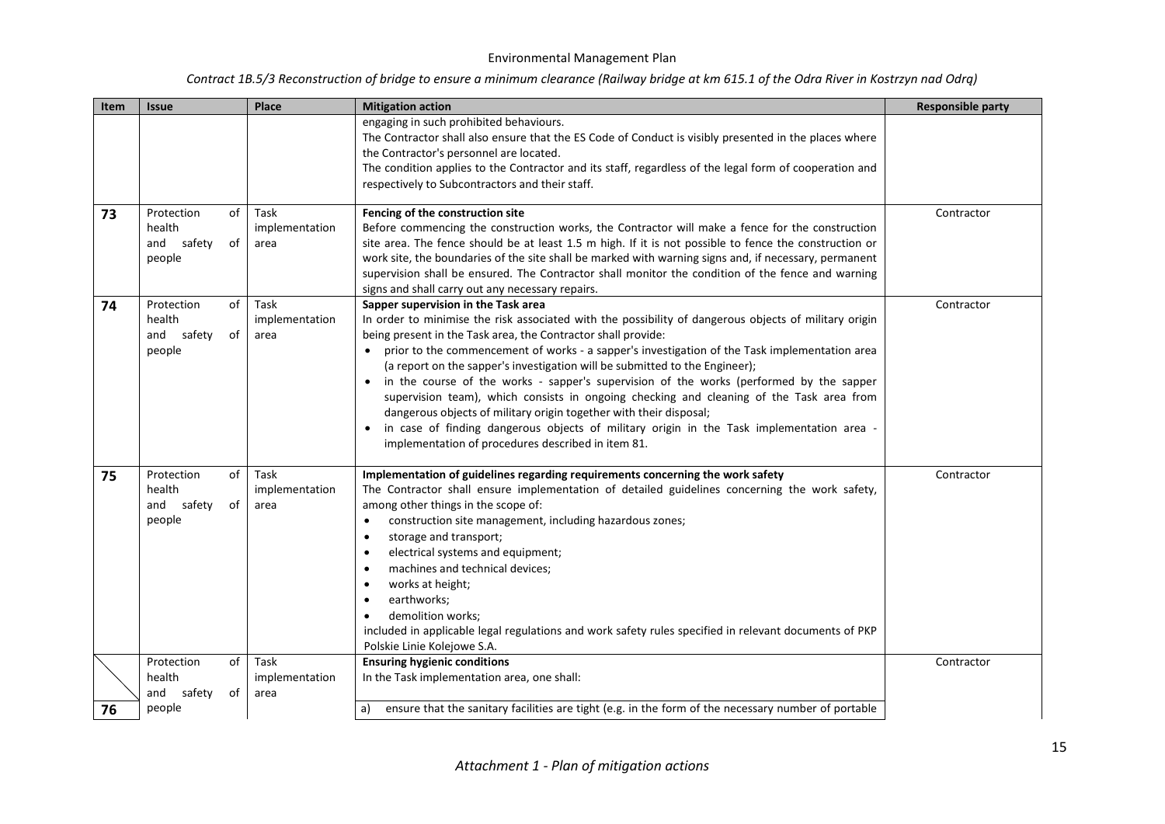| Item | <b>Issue</b>                                                | Place                          | <b>Mitigation action</b>                                                                                                                                                                                                                                                                                                                                                                                                                                                                                                                                                                                                                                                                                                                                                                                                                | <b>Responsible party</b> |
|------|-------------------------------------------------------------|--------------------------------|-----------------------------------------------------------------------------------------------------------------------------------------------------------------------------------------------------------------------------------------------------------------------------------------------------------------------------------------------------------------------------------------------------------------------------------------------------------------------------------------------------------------------------------------------------------------------------------------------------------------------------------------------------------------------------------------------------------------------------------------------------------------------------------------------------------------------------------------|--------------------------|
|      |                                                             |                                | engaging in such prohibited behaviours.<br>The Contractor shall also ensure that the ES Code of Conduct is visibly presented in the places where<br>the Contractor's personnel are located.<br>The condition applies to the Contractor and its staff, regardless of the legal form of cooperation and<br>respectively to Subcontractors and their staff.                                                                                                                                                                                                                                                                                                                                                                                                                                                                                |                          |
| 73   | Protection<br>of<br>health<br>of<br>and safety<br>people    | Task<br>implementation<br>area | Fencing of the construction site<br>Before commencing the construction works, the Contractor will make a fence for the construction<br>site area. The fence should be at least 1.5 m high. If it is not possible to fence the construction or<br>work site, the boundaries of the site shall be marked with warning signs and, if necessary, permanent<br>supervision shall be ensured. The Contractor shall monitor the condition of the fence and warning<br>signs and shall carry out any necessary repairs.                                                                                                                                                                                                                                                                                                                         | Contractor               |
| 74   | of<br>Protection<br>health<br>of<br>and<br>safety<br>people | Task<br>implementation<br>area | Sapper supervision in the Task area<br>In order to minimise the risk associated with the possibility of dangerous objects of military origin<br>being present in the Task area, the Contractor shall provide:<br>prior to the commencement of works - a sapper's investigation of the Task implementation area<br>$\bullet$<br>(a report on the sapper's investigation will be submitted to the Engineer);<br>in the course of the works - sapper's supervision of the works (performed by the sapper<br>supervision team), which consists in ongoing checking and cleaning of the Task area from<br>dangerous objects of military origin together with their disposal;<br>in case of finding dangerous objects of military origin in the Task implementation area -<br>$\bullet$<br>implementation of procedures described in item 81. | Contractor               |
| 75   | of<br>Protection<br>health<br>safety<br>of<br>and<br>people | Task<br>implementation<br>area | Implementation of guidelines regarding requirements concerning the work safety<br>The Contractor shall ensure implementation of detailed guidelines concerning the work safety,<br>among other things in the scope of:<br>construction site management, including hazardous zones;<br>$\bullet$<br>storage and transport;<br>$\bullet$<br>electrical systems and equipment;<br>machines and technical devices;<br>$\bullet$<br>works at height;<br>$\bullet$<br>earthworks;<br>$\bullet$<br>demolition works:<br>$\bullet$<br>included in applicable legal regulations and work safety rules specified in relevant documents of PKP<br>Polskie Linie Kolejowe S.A.                                                                                                                                                                      | Contractor               |
|      | of<br>Protection<br>health<br>safety<br>of<br>and           | Task<br>implementation<br>area | <b>Ensuring hygienic conditions</b><br>In the Task implementation area, one shall:                                                                                                                                                                                                                                                                                                                                                                                                                                                                                                                                                                                                                                                                                                                                                      | Contractor               |
| 76   | people                                                      |                                | ensure that the sanitary facilities are tight (e.g. in the form of the necessary number of portable<br>a)                                                                                                                                                                                                                                                                                                                                                                                                                                                                                                                                                                                                                                                                                                                               |                          |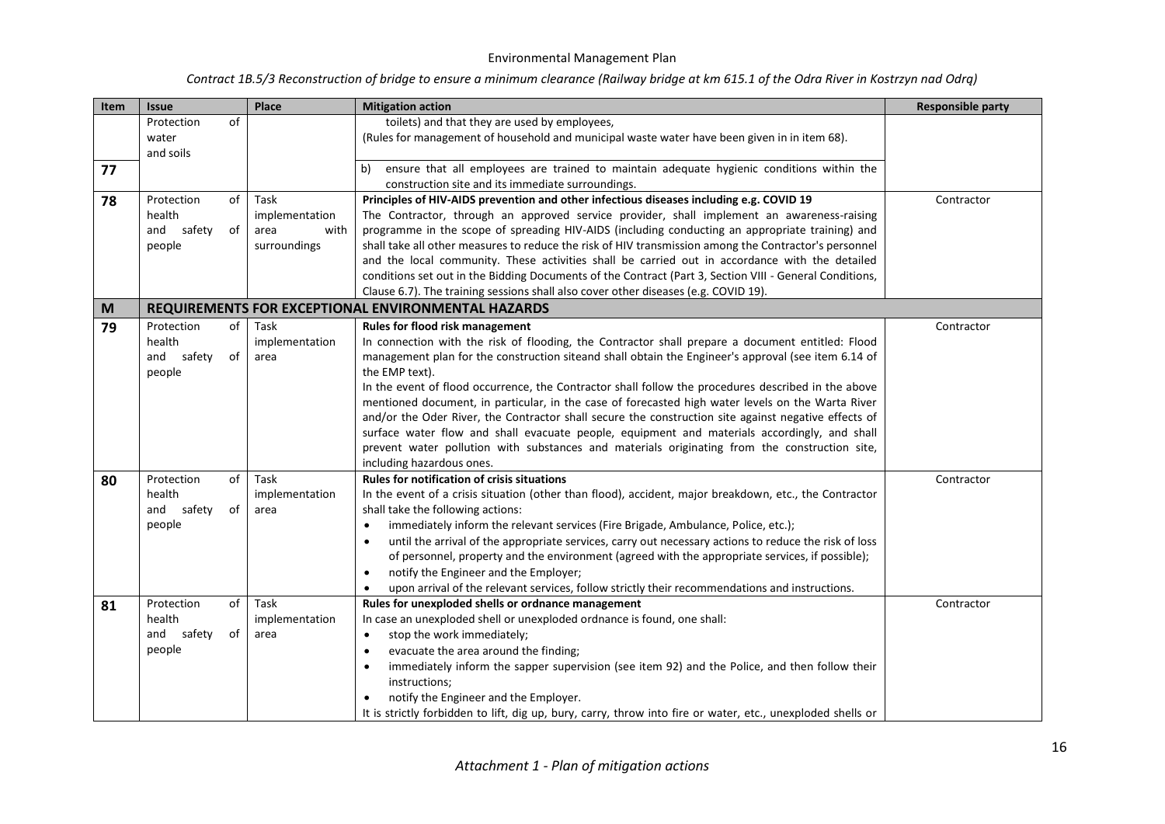| Contract 1B.5/3 Reconstruction of bridge to ensure a minimum clearance (Railway bridge at km 615.1 of the Odra River in Kostrzyn nad Odrą) |  |  |
|--------------------------------------------------------------------------------------------------------------------------------------------|--|--|
|--------------------------------------------------------------------------------------------------------------------------------------------|--|--|

| Item | <b>Issue</b>                                                                    | Place                                                  | <b>Mitigation action</b>                                                                                                                                                                                                                                                                                                                                                                                                                                                                                                                                                                                                                                                                                                                                                                                                                                                    | <b>Responsible party</b> |
|------|---------------------------------------------------------------------------------|--------------------------------------------------------|-----------------------------------------------------------------------------------------------------------------------------------------------------------------------------------------------------------------------------------------------------------------------------------------------------------------------------------------------------------------------------------------------------------------------------------------------------------------------------------------------------------------------------------------------------------------------------------------------------------------------------------------------------------------------------------------------------------------------------------------------------------------------------------------------------------------------------------------------------------------------------|--------------------------|
|      | of<br>Protection<br>water<br>and soils                                          |                                                        | toilets) and that they are used by employees,<br>(Rules for management of household and municipal waste water have been given in in item 68).                                                                                                                                                                                                                                                                                                                                                                                                                                                                                                                                                                                                                                                                                                                               |                          |
| 77   |                                                                                 |                                                        | ensure that all employees are trained to maintain adequate hygienic conditions within the<br>b)<br>construction site and its immediate surroundings.                                                                                                                                                                                                                                                                                                                                                                                                                                                                                                                                                                                                                                                                                                                        |                          |
| 78   | of<br>Protection<br>health<br>safety<br>and<br>of<br>people                     | Task<br>implementation<br>area<br>with<br>surroundings | Principles of HIV-AIDS prevention and other infectious diseases including e.g. COVID 19<br>The Contractor, through an approved service provider, shall implement an awareness-raising<br>programme in the scope of spreading HIV-AIDS (including conducting an appropriate training) and<br>shall take all other measures to reduce the risk of HIV transmission among the Contractor's personnel<br>and the local community. These activities shall be carried out in accordance with the detailed<br>conditions set out in the Bidding Documents of the Contract (Part 3, Section VIII - General Conditions,<br>Clause 6.7). The training sessions shall also cover other diseases (e.g. COVID 19).                                                                                                                                                                       | Contractor               |
| M    |                                                                                 |                                                        | REQUIREMENTS FOR EXCEPTIONAL ENVIRONMENTAL HAZARDS                                                                                                                                                                                                                                                                                                                                                                                                                                                                                                                                                                                                                                                                                                                                                                                                                          |                          |
| 79   | Protection<br>of<br>health<br>safety<br>of<br>and<br>people<br>Protection<br>of | Task<br>implementation<br>area<br>Task                 | <b>Rules for flood risk management</b><br>In connection with the risk of flooding, the Contractor shall prepare a document entitled: Flood<br>management plan for the construction siteand shall obtain the Engineer's approval (see item 6.14 of<br>the EMP text).<br>In the event of flood occurrence, the Contractor shall follow the procedures described in the above<br>mentioned document, in particular, in the case of forecasted high water levels on the Warta River<br>and/or the Oder River, the Contractor shall secure the construction site against negative effects of<br>surface water flow and shall evacuate people, equipment and materials accordingly, and shall<br>prevent water pollution with substances and materials originating from the construction site,<br>including hazardous ones.<br><b>Rules for notification of crisis situations</b> | Contractor<br>Contractor |
| 80   | health<br>and safety<br>of<br>people                                            | implementation<br>area                                 | In the event of a crisis situation (other than flood), accident, major breakdown, etc., the Contractor<br>shall take the following actions:<br>immediately inform the relevant services (Fire Brigade, Ambulance, Police, etc.);<br>$\bullet$<br>until the arrival of the appropriate services, carry out necessary actions to reduce the risk of loss<br>$\bullet$<br>of personnel, property and the environment (agreed with the appropriate services, if possible);<br>notify the Engineer and the Employer;<br>$\bullet$<br>upon arrival of the relevant services, follow strictly their recommendations and instructions.                                                                                                                                                                                                                                              |                          |
| 81   | of<br>Protection<br>health<br>and<br>safety<br>of<br>people                     | Task<br>implementation<br>area                         | Rules for unexploded shells or ordnance management<br>In case an unexploded shell or unexploded ordnance is found, one shall:<br>stop the work immediately;<br>$\bullet$<br>evacuate the area around the finding;<br>$\bullet$<br>immediately inform the sapper supervision (see item 92) and the Police, and then follow their<br>$\bullet$<br>instructions;<br>notify the Engineer and the Employer.<br>$\bullet$<br>It is strictly forbidden to lift, dig up, bury, carry, throw into fire or water, etc., unexploded shells or                                                                                                                                                                                                                                                                                                                                          | Contractor               |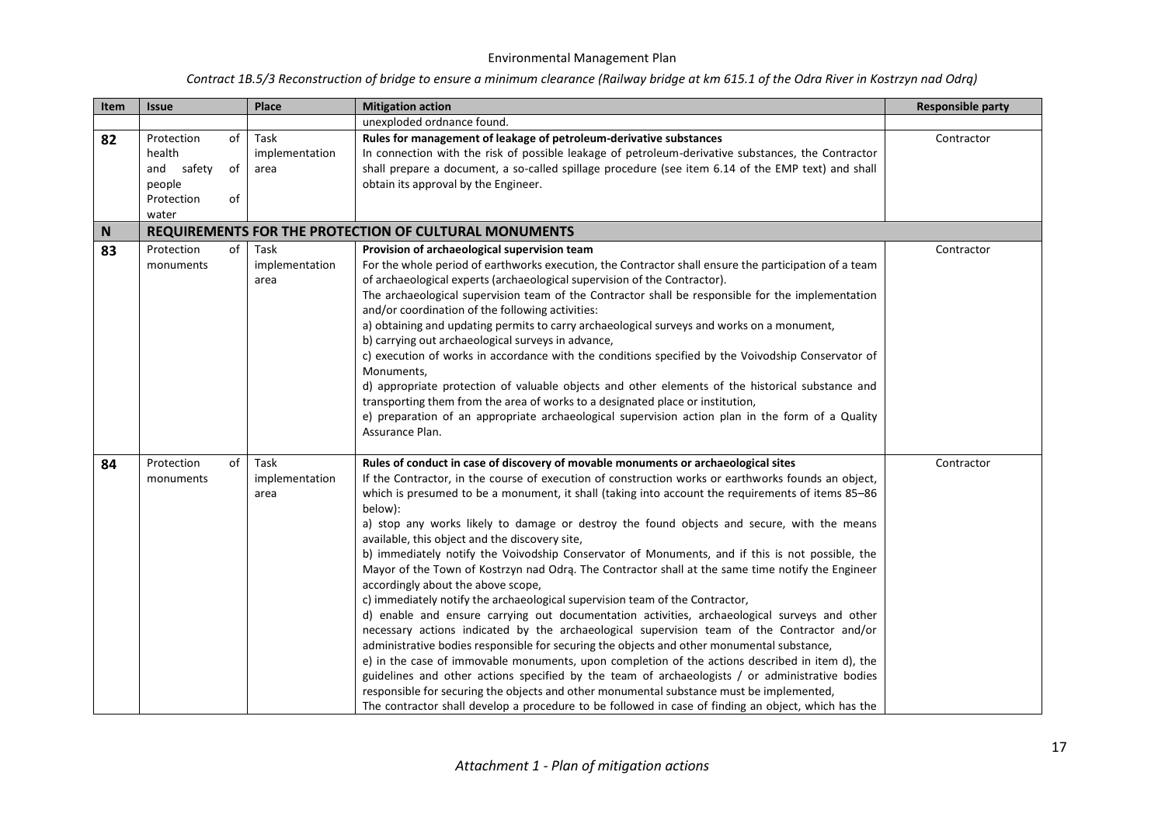| Item | <b>Issue</b>                                                                          | Place                          | <b>Mitigation action</b>                                                                                                                                                                                                                                                                                                                                                                                                                                                                                                                                                                                                                                                                                                                                                                                                                                                                                                                                                                                                                                                                                                                                                                                                                                                                                                                                                                                                                                                                      | <b>Responsible party</b> |
|------|---------------------------------------------------------------------------------------|--------------------------------|-----------------------------------------------------------------------------------------------------------------------------------------------------------------------------------------------------------------------------------------------------------------------------------------------------------------------------------------------------------------------------------------------------------------------------------------------------------------------------------------------------------------------------------------------------------------------------------------------------------------------------------------------------------------------------------------------------------------------------------------------------------------------------------------------------------------------------------------------------------------------------------------------------------------------------------------------------------------------------------------------------------------------------------------------------------------------------------------------------------------------------------------------------------------------------------------------------------------------------------------------------------------------------------------------------------------------------------------------------------------------------------------------------------------------------------------------------------------------------------------------|--------------------------|
|      |                                                                                       |                                | unexploded ordnance found.                                                                                                                                                                                                                                                                                                                                                                                                                                                                                                                                                                                                                                                                                                                                                                                                                                                                                                                                                                                                                                                                                                                                                                                                                                                                                                                                                                                                                                                                    |                          |
| 82   | Protection<br>of<br>health<br>and safety<br>of<br>people<br>Protection<br>of<br>water | Task<br>implementation<br>area | Rules for management of leakage of petroleum-derivative substances<br>In connection with the risk of possible leakage of petroleum-derivative substances, the Contractor<br>shall prepare a document, a so-called spillage procedure (see item 6.14 of the EMP text) and shall<br>obtain its approval by the Engineer.                                                                                                                                                                                                                                                                                                                                                                                                                                                                                                                                                                                                                                                                                                                                                                                                                                                                                                                                                                                                                                                                                                                                                                        | Contractor               |
| N    |                                                                                       |                                | REQUIREMENTS FOR THE PROTECTION OF CULTURAL MONUMENTS                                                                                                                                                                                                                                                                                                                                                                                                                                                                                                                                                                                                                                                                                                                                                                                                                                                                                                                                                                                                                                                                                                                                                                                                                                                                                                                                                                                                                                         |                          |
| 83   | Protection<br>of<br>monuments                                                         | Task<br>implementation<br>area | Provision of archaeological supervision team<br>For the whole period of earthworks execution, the Contractor shall ensure the participation of a team<br>of archaeological experts (archaeological supervision of the Contractor).<br>The archaeological supervision team of the Contractor shall be responsible for the implementation<br>and/or coordination of the following activities:<br>a) obtaining and updating permits to carry archaeological surveys and works on a monument,<br>b) carrying out archaeological surveys in advance,<br>c) execution of works in accordance with the conditions specified by the Voivodship Conservator of<br>Monuments,<br>d) appropriate protection of valuable objects and other elements of the historical substance and<br>transporting them from the area of works to a designated place or institution,<br>e) preparation of an appropriate archaeological supervision action plan in the form of a Quality<br>Assurance Plan.                                                                                                                                                                                                                                                                                                                                                                                                                                                                                                              | Contractor               |
| 84   | Protection<br>of<br>monuments                                                         | Task<br>implementation<br>area | Rules of conduct in case of discovery of movable monuments or archaeological sites<br>If the Contractor, in the course of execution of construction works or earthworks founds an object,<br>which is presumed to be a monument, it shall (taking into account the requirements of items 85-86<br>below):<br>a) stop any works likely to damage or destroy the found objects and secure, with the means<br>available, this object and the discovery site,<br>b) immediately notify the Voivodship Conservator of Monuments, and if this is not possible, the<br>Mayor of the Town of Kostrzyn nad Odra. The Contractor shall at the same time notify the Engineer<br>accordingly about the above scope,<br>c) immediately notify the archaeological supervision team of the Contractor,<br>d) enable and ensure carrying out documentation activities, archaeological surveys and other<br>necessary actions indicated by the archaeological supervision team of the Contractor and/or<br>administrative bodies responsible for securing the objects and other monumental substance,<br>e) in the case of immovable monuments, upon completion of the actions described in item d), the<br>guidelines and other actions specified by the team of archaeologists / or administrative bodies<br>responsible for securing the objects and other monumental substance must be implemented,<br>The contractor shall develop a procedure to be followed in case of finding an object, which has the | Contractor               |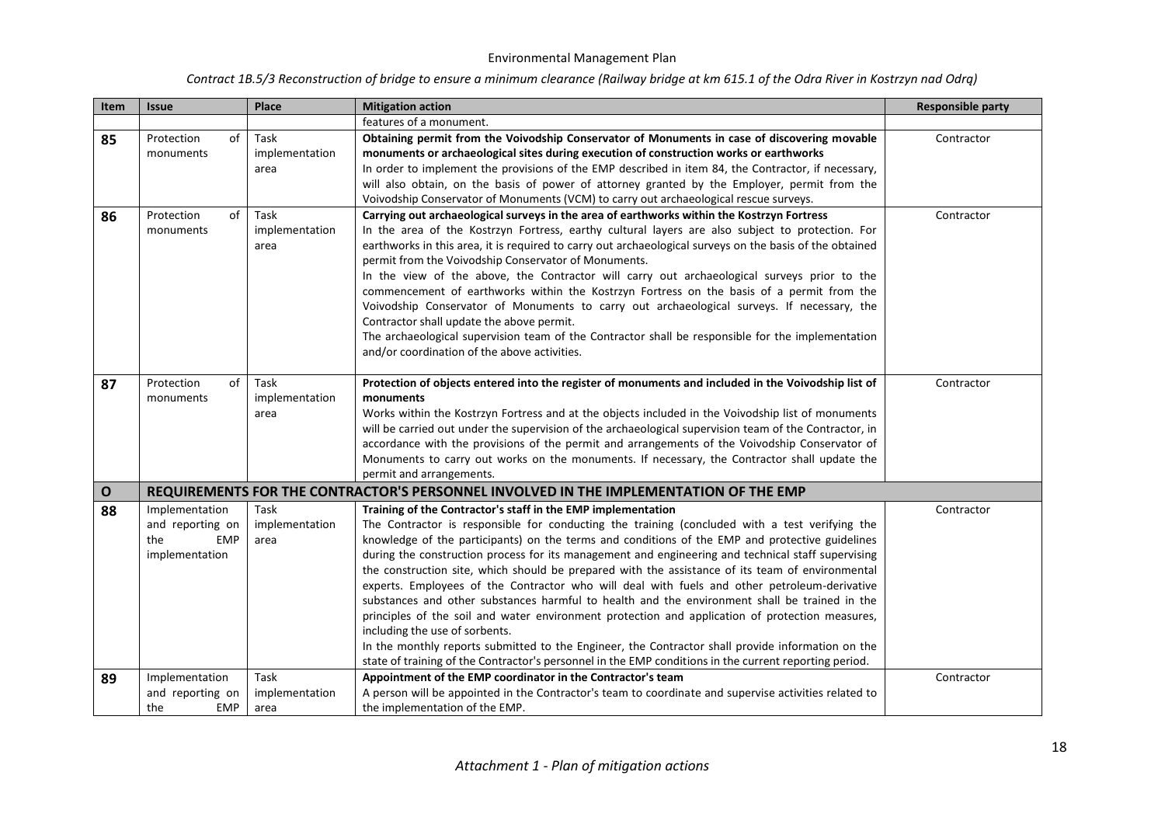| Item         | <b>Issue</b>                                                              | Place                          | <b>Mitigation action</b>                                                                                                                                                                                                                                                                                                                                                                                                                                                                                                                                                                                                                                                                                                                                                                                                                                                                                                                                                                                                         | <b>Responsible party</b> |
|--------------|---------------------------------------------------------------------------|--------------------------------|----------------------------------------------------------------------------------------------------------------------------------------------------------------------------------------------------------------------------------------------------------------------------------------------------------------------------------------------------------------------------------------------------------------------------------------------------------------------------------------------------------------------------------------------------------------------------------------------------------------------------------------------------------------------------------------------------------------------------------------------------------------------------------------------------------------------------------------------------------------------------------------------------------------------------------------------------------------------------------------------------------------------------------|--------------------------|
|              |                                                                           |                                | features of a monument.                                                                                                                                                                                                                                                                                                                                                                                                                                                                                                                                                                                                                                                                                                                                                                                                                                                                                                                                                                                                          |                          |
| 85           | Protection<br>of<br>monuments                                             | Task<br>implementation<br>area | Obtaining permit from the Voivodship Conservator of Monuments in case of discovering movable<br>monuments or archaeological sites during execution of construction works or earthworks<br>In order to implement the provisions of the EMP described in item 84, the Contractor, if necessary,<br>will also obtain, on the basis of power of attorney granted by the Employer, permit from the<br>Voivodship Conservator of Monuments (VCM) to carry out archaeological rescue surveys.                                                                                                                                                                                                                                                                                                                                                                                                                                                                                                                                           | Contractor               |
| 86           | Protection<br>of<br>monuments                                             | Task<br>implementation<br>area | Carrying out archaeological surveys in the area of earthworks within the Kostrzyn Fortress<br>In the area of the Kostrzyn Fortress, earthy cultural layers are also subject to protection. For<br>earthworks in this area, it is required to carry out archaeological surveys on the basis of the obtained<br>permit from the Voivodship Conservator of Monuments.<br>In the view of the above, the Contractor will carry out archaeological surveys prior to the<br>commencement of earthworks within the Kostrzyn Fortress on the basis of a permit from the<br>Voivodship Conservator of Monuments to carry out archaeological surveys. If necessary, the<br>Contractor shall update the above permit.<br>The archaeological supervision team of the Contractor shall be responsible for the implementation<br>and/or coordination of the above activities.                                                                                                                                                                   | Contractor               |
| 87           | Protection<br>of<br>monuments                                             | Task<br>implementation<br>area | Protection of objects entered into the register of monuments and included in the Voivodship list of<br>monuments<br>Works within the Kostrzyn Fortress and at the objects included in the Voivodship list of monuments<br>will be carried out under the supervision of the archaeological supervision team of the Contractor, in<br>accordance with the provisions of the permit and arrangements of the Voivodship Conservator of<br>Monuments to carry out works on the monuments. If necessary, the Contractor shall update the<br>permit and arrangements.                                                                                                                                                                                                                                                                                                                                                                                                                                                                   | Contractor               |
| $\mathbf{o}$ |                                                                           |                                | REQUIREMENTS FOR THE CONTRACTOR'S PERSONNEL INVOLVED IN THE IMPLEMENTATION OF THE EMP                                                                                                                                                                                                                                                                                                                                                                                                                                                                                                                                                                                                                                                                                                                                                                                                                                                                                                                                            |                          |
| 88           | Implementation<br>and reporting on<br><b>EMP</b><br>the<br>implementation | Task<br>implementation<br>area | Training of the Contractor's staff in the EMP implementation<br>The Contractor is responsible for conducting the training (concluded with a test verifying the<br>knowledge of the participants) on the terms and conditions of the EMP and protective guidelines<br>during the construction process for its management and engineering and technical staff supervising<br>the construction site, which should be prepared with the assistance of its team of environmental<br>experts. Employees of the Contractor who will deal with fuels and other petroleum-derivative<br>substances and other substances harmful to health and the environment shall be trained in the<br>principles of the soil and water environment protection and application of protection measures,<br>including the use of sorbents.<br>In the monthly reports submitted to the Engineer, the Contractor shall provide information on the<br>state of training of the Contractor's personnel in the EMP conditions in the current reporting period. | Contractor               |
| 89           | Implementation<br>and reporting on<br>the<br><b>EMP</b>                   | Task<br>implementation<br>area | Appointment of the EMP coordinator in the Contractor's team<br>A person will be appointed in the Contractor's team to coordinate and supervise activities related to<br>the implementation of the EMP.                                                                                                                                                                                                                                                                                                                                                                                                                                                                                                                                                                                                                                                                                                                                                                                                                           | Contractor               |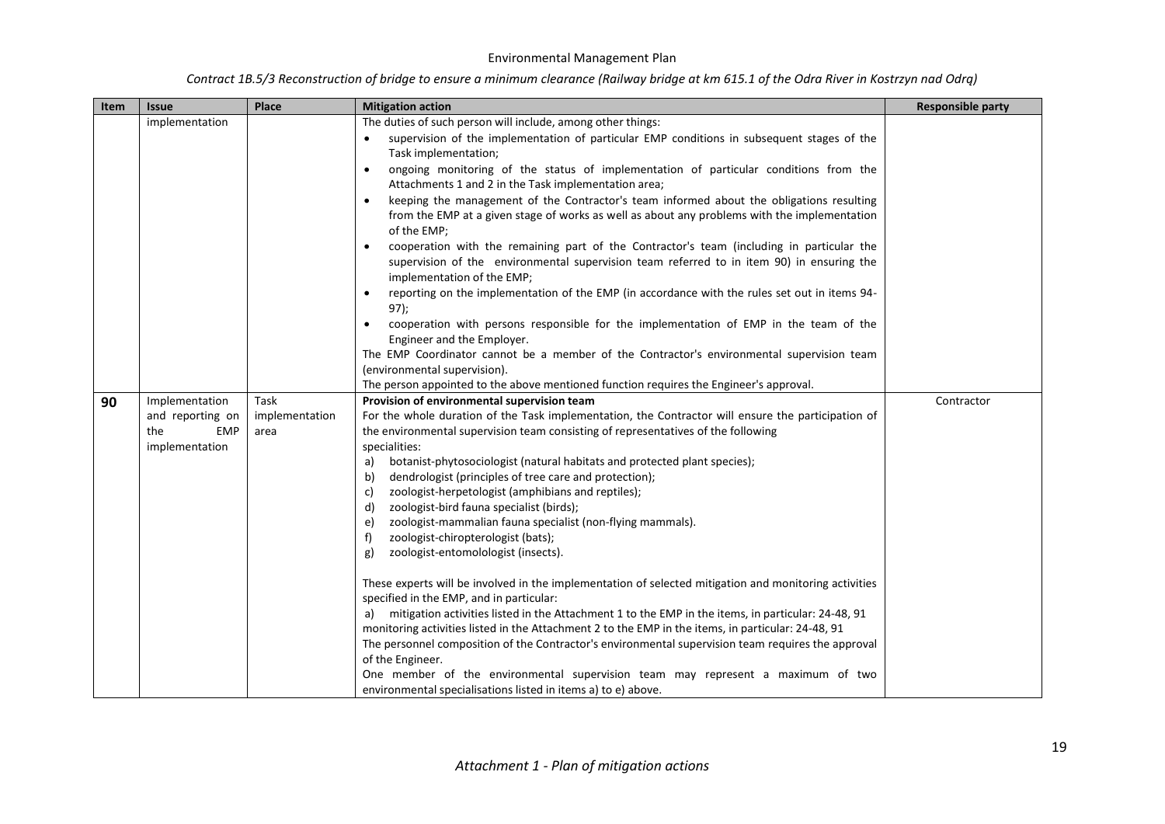| Item | <b>Issue</b>      | Place          | <b>Mitigation action</b>                                                                                 | <b>Responsible party</b> |
|------|-------------------|----------------|----------------------------------------------------------------------------------------------------------|--------------------------|
|      | implementation    |                | The duties of such person will include, among other things:                                              |                          |
|      |                   |                | supervision of the implementation of particular EMP conditions in subsequent stages of the               |                          |
|      |                   |                | Task implementation;                                                                                     |                          |
|      |                   |                | ongoing monitoring of the status of implementation of particular conditions from the<br>$\bullet$        |                          |
|      |                   |                | Attachments 1 and 2 in the Task implementation area;                                                     |                          |
|      |                   |                | keeping the management of the Contractor's team informed about the obligations resulting<br>$\bullet$    |                          |
|      |                   |                | from the EMP at a given stage of works as well as about any problems with the implementation             |                          |
|      |                   |                | of the EMP;                                                                                              |                          |
|      |                   |                | cooperation with the remaining part of the Contractor's team (including in particular the                |                          |
|      |                   |                | supervision of the environmental supervision team referred to in item 90) in ensuring the                |                          |
|      |                   |                | implementation of the EMP;                                                                               |                          |
|      |                   |                | reporting on the implementation of the EMP (in accordance with the rules set out in items 94-            |                          |
|      |                   |                | 97);                                                                                                     |                          |
|      |                   |                | cooperation with persons responsible for the implementation of EMP in the team of the<br>$\bullet$       |                          |
|      |                   |                | Engineer and the Employer.                                                                               |                          |
|      |                   |                | The EMP Coordinator cannot be a member of the Contractor's environmental supervision team                |                          |
|      |                   |                | (environmental supervision).                                                                             |                          |
|      |                   |                | The person appointed to the above mentioned function requires the Engineer's approval.                   |                          |
| 90   | Implementation    | Task           | Provision of environmental supervision team                                                              | Contractor               |
|      | and reporting on  | implementation | For the whole duration of the Task implementation, the Contractor will ensure the participation of       |                          |
|      | the<br><b>EMP</b> | area           | the environmental supervision team consisting of representatives of the following                        |                          |
|      | implementation    |                | specialities:<br>botanist-phytosociologist (natural habitats and protected plant species);               |                          |
|      |                   |                | a)<br>dendrologist (principles of tree care and protection);<br>b)                                       |                          |
|      |                   |                | zoologist-herpetologist (amphibians and reptiles);<br>c)                                                 |                          |
|      |                   |                | zoologist-bird fauna specialist (birds);<br>d)                                                           |                          |
|      |                   |                | zoologist-mammalian fauna specialist (non-flying mammals).<br>e)                                         |                          |
|      |                   |                | zoologist-chiropterologist (bats);<br>f)                                                                 |                          |
|      |                   |                | zoologist-entomolologist (insects).<br>g)                                                                |                          |
|      |                   |                |                                                                                                          |                          |
|      |                   |                | These experts will be involved in the implementation of selected mitigation and monitoring activities    |                          |
|      |                   |                | specified in the EMP, and in particular:                                                                 |                          |
|      |                   |                | mitigation activities listed in the Attachment 1 to the EMP in the items, in particular: 24-48, 91<br>a) |                          |
|      |                   |                | monitoring activities listed in the Attachment 2 to the EMP in the items, in particular: 24-48, 91       |                          |
|      |                   |                | The personnel composition of the Contractor's environmental supervision team requires the approval       |                          |
|      |                   |                | of the Engineer.                                                                                         |                          |
|      |                   |                | One member of the environmental supervision team may represent a maximum of two                          |                          |
|      |                   |                | environmental specialisations listed in items a) to e) above.                                            |                          |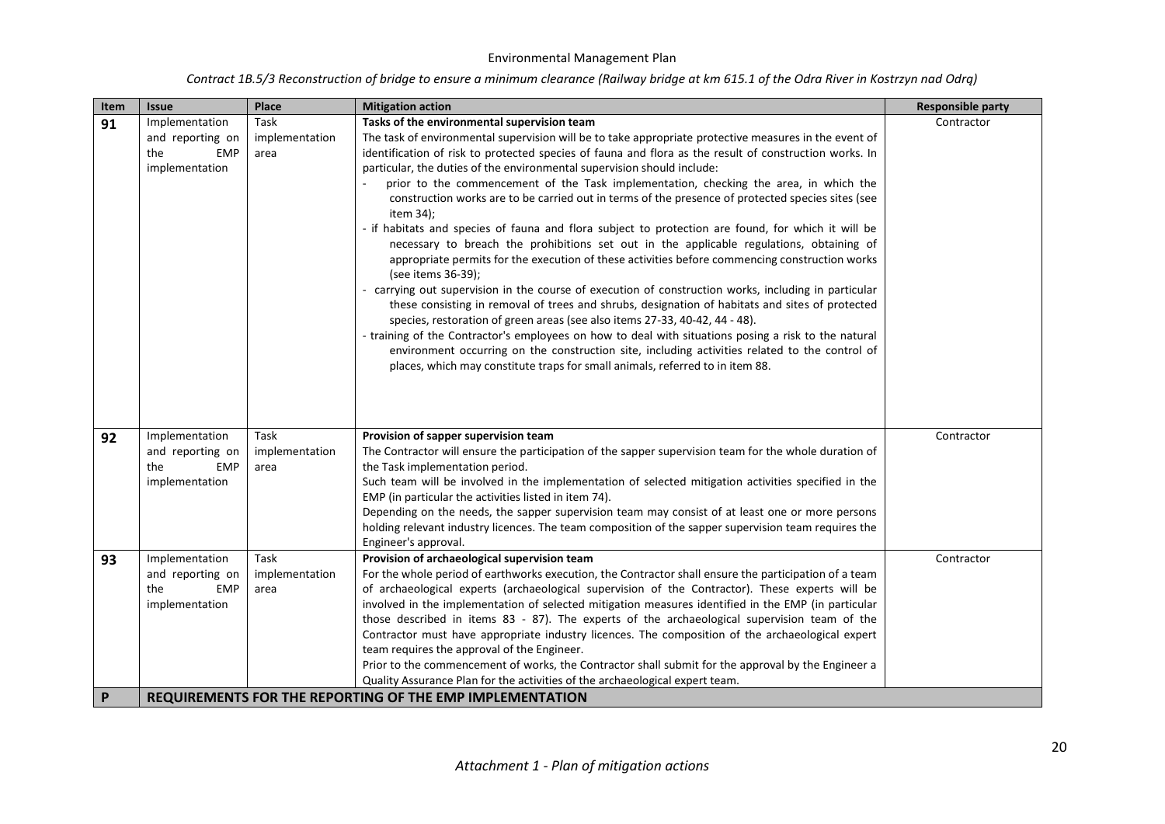| Item | <b>Issue</b>      | Place          | <b>Mitigation action</b>                                                                                             | <b>Responsible party</b> |
|------|-------------------|----------------|----------------------------------------------------------------------------------------------------------------------|--------------------------|
| 91   | Implementation    | Task           | Tasks of the environmental supervision team                                                                          | Contractor               |
|      | and reporting on  | implementation | The task of environmental supervision will be to take appropriate protective measures in the event of                |                          |
|      | the<br><b>EMP</b> | area           | identification of risk to protected species of fauna and flora as the result of construction works. In               |                          |
|      | implementation    |                | particular, the duties of the environmental supervision should include:                                              |                          |
|      |                   |                | prior to the commencement of the Task implementation, checking the area, in which the                                |                          |
|      |                   |                | construction works are to be carried out in terms of the presence of protected species sites (see<br>item 34);       |                          |
|      |                   |                | - if habitats and species of fauna and flora subject to protection are found, for which it will be                   |                          |
|      |                   |                | necessary to breach the prohibitions set out in the applicable regulations, obtaining of                             |                          |
|      |                   |                | appropriate permits for the execution of these activities before commencing construction works<br>(see items 36-39); |                          |
|      |                   |                | - carrying out supervision in the course of execution of construction works, including in particular                 |                          |
|      |                   |                | these consisting in removal of trees and shrubs, designation of habitats and sites of protected                      |                          |
|      |                   |                | species, restoration of green areas (see also items 27-33, 40-42, 44 - 48).                                          |                          |
|      |                   |                | - training of the Contractor's employees on how to deal with situations posing a risk to the natural                 |                          |
|      |                   |                | environment occurring on the construction site, including activities related to the control of                       |                          |
|      |                   |                | places, which may constitute traps for small animals, referred to in item 88.                                        |                          |
|      |                   |                |                                                                                                                      |                          |
|      |                   |                |                                                                                                                      |                          |
|      |                   |                |                                                                                                                      |                          |
| 92   | Implementation    | Task           | Provision of sapper supervision team                                                                                 | Contractor               |
|      | and reporting on  | implementation | The Contractor will ensure the participation of the sapper supervision team for the whole duration of                |                          |
|      | the<br><b>EMP</b> | area           | the Task implementation period.                                                                                      |                          |
|      | implementation    |                | Such team will be involved in the implementation of selected mitigation activities specified in the                  |                          |
|      |                   |                | EMP (in particular the activities listed in item 74).                                                                |                          |
|      |                   |                | Depending on the needs, the sapper supervision team may consist of at least one or more persons                      |                          |
|      |                   |                | holding relevant industry licences. The team composition of the sapper supervision team requires the                 |                          |
|      |                   |                | Engineer's approval.                                                                                                 |                          |
| 93   | Implementation    | Task           | Provision of archaeological supervision team                                                                         | Contractor               |
|      | and reporting on  | implementation | For the whole period of earthworks execution, the Contractor shall ensure the participation of a team                |                          |
|      | the<br><b>EMP</b> | area           | of archaeological experts (archaeological supervision of the Contractor). These experts will be                      |                          |
|      | implementation    |                | involved in the implementation of selected mitigation measures identified in the EMP (in particular                  |                          |
|      |                   |                | those described in items 83 - 87). The experts of the archaeological supervision team of the                         |                          |
|      |                   |                | Contractor must have appropriate industry licences. The composition of the archaeological expert                     |                          |
|      |                   |                | team requires the approval of the Engineer.                                                                          |                          |
|      |                   |                | Prior to the commencement of works, the Contractor shall submit for the approval by the Engineer a                   |                          |
|      |                   |                | Quality Assurance Plan for the activities of the archaeological expert team.                                         |                          |
| P    |                   |                | REQUIREMENTS FOR THE REPORTING OF THE EMP IMPLEMENTATION                                                             |                          |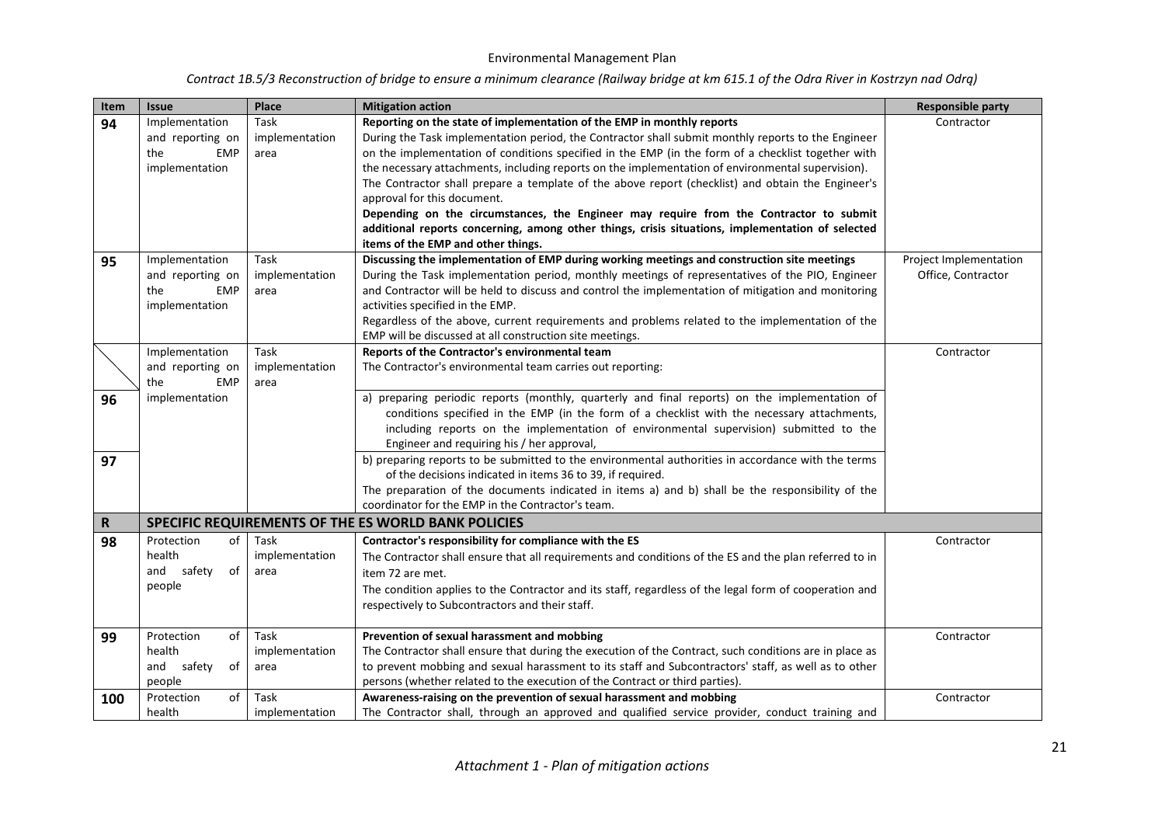| Contract 1B.5/3 Reconstruction of bridge to ensure a minimum clearance (Railway bridge at km 615.1 of the Odra River in Kostrzyn nad Odrą) |  |  |
|--------------------------------------------------------------------------------------------------------------------------------------------|--|--|
|--------------------------------------------------------------------------------------------------------------------------------------------|--|--|

| Item | <b>Issue</b>                                                              | Place                          | <b>Mitigation action</b>                                                                                                                                                                                                                                                                                                                                                                                                                                                                                                                                                                                                                                                                                                                                        | <b>Responsible party</b>                     |
|------|---------------------------------------------------------------------------|--------------------------------|-----------------------------------------------------------------------------------------------------------------------------------------------------------------------------------------------------------------------------------------------------------------------------------------------------------------------------------------------------------------------------------------------------------------------------------------------------------------------------------------------------------------------------------------------------------------------------------------------------------------------------------------------------------------------------------------------------------------------------------------------------------------|----------------------------------------------|
| 94   | Implementation<br>and reporting on<br>the<br><b>EMP</b><br>implementation | Task<br>implementation<br>area | Reporting on the state of implementation of the EMP in monthly reports<br>During the Task implementation period, the Contractor shall submit monthly reports to the Engineer<br>on the implementation of conditions specified in the EMP (in the form of a checklist together with<br>the necessary attachments, including reports on the implementation of environmental supervision).<br>The Contractor shall prepare a template of the above report (checklist) and obtain the Engineer's<br>approval for this document.<br>Depending on the circumstances, the Engineer may require from the Contractor to submit<br>additional reports concerning, among other things, crisis situations, implementation of selected<br>items of the EMP and other things. | Contractor                                   |
| 95   | Implementation<br>and reporting on<br>the<br><b>EMP</b><br>implementation | Task<br>implementation<br>area | Discussing the implementation of EMP during working meetings and construction site meetings<br>During the Task implementation period, monthly meetings of representatives of the PIO, Engineer<br>and Contractor will be held to discuss and control the implementation of mitigation and monitoring<br>activities specified in the EMP.<br>Regardless of the above, current requirements and problems related to the implementation of the<br>EMP will be discussed at all construction site meetings.                                                                                                                                                                                                                                                         | Project Implementation<br>Office, Contractor |
|      | Implementation<br>and reporting on<br>the<br><b>EMP</b>                   | Task<br>implementation<br>area | Reports of the Contractor's environmental team<br>The Contractor's environmental team carries out reporting:                                                                                                                                                                                                                                                                                                                                                                                                                                                                                                                                                                                                                                                    | Contractor                                   |
| 96   | implementation                                                            |                                | a) preparing periodic reports (monthly, quarterly and final reports) on the implementation of<br>conditions specified in the EMP (in the form of a checklist with the necessary attachments,<br>including reports on the implementation of environmental supervision) submitted to the<br>Engineer and requiring his / her approval,<br>b) preparing reports to be submitted to the environmental authorities in accordance with the terms                                                                                                                                                                                                                                                                                                                      |                                              |
| 97   |                                                                           |                                | of the decisions indicated in items 36 to 39, if required.<br>The preparation of the documents indicated in items a) and b) shall be the responsibility of the<br>coordinator for the EMP in the Contractor's team.                                                                                                                                                                                                                                                                                                                                                                                                                                                                                                                                             |                                              |
| R    |                                                                           |                                | SPECIFIC REQUIREMENTS OF THE ES WORLD BANK POLICIES                                                                                                                                                                                                                                                                                                                                                                                                                                                                                                                                                                                                                                                                                                             |                                              |
| 98   | of<br>Protection<br>health<br>safety<br>of<br>and<br>people               | Task<br>implementation<br>area | Contractor's responsibility for compliance with the ES<br>The Contractor shall ensure that all requirements and conditions of the ES and the plan referred to in<br>item 72 are met.<br>The condition applies to the Contractor and its staff, regardless of the legal form of cooperation and<br>respectively to Subcontractors and their staff.                                                                                                                                                                                                                                                                                                                                                                                                               | Contractor                                   |
| 99   | of<br>Protection<br>health<br>and<br>safety<br>of<br>people               | Task<br>implementation<br>area | Prevention of sexual harassment and mobbing<br>The Contractor shall ensure that during the execution of the Contract, such conditions are in place as<br>to prevent mobbing and sexual harassment to its staff and Subcontractors' staff, as well as to other<br>persons (whether related to the execution of the Contract or third parties).                                                                                                                                                                                                                                                                                                                                                                                                                   | Contractor                                   |
| 100  | of<br>Protection<br>health                                                | Task<br>implementation         | Awareness-raising on the prevention of sexual harassment and mobbing<br>The Contractor shall, through an approved and qualified service provider, conduct training and                                                                                                                                                                                                                                                                                                                                                                                                                                                                                                                                                                                          | Contractor                                   |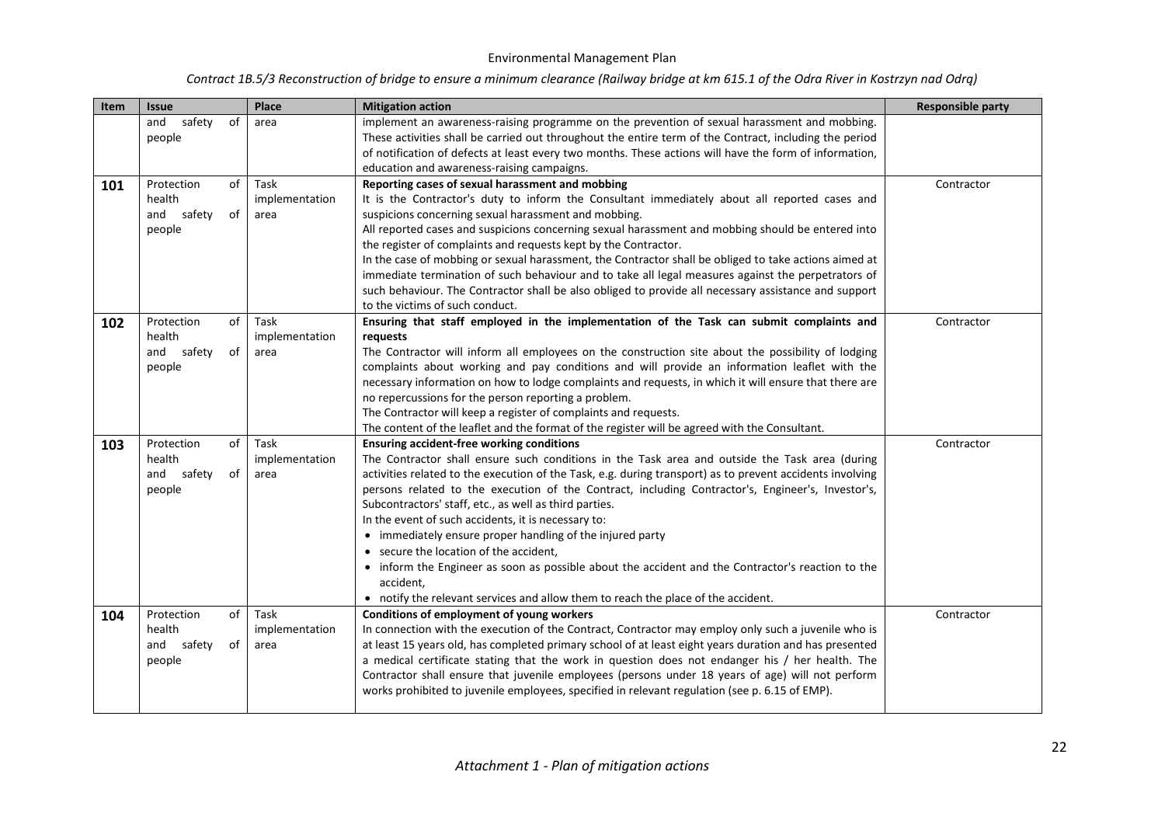| Item | <b>Issue</b>                                                | Place                          | <b>Mitigation action</b>                                                                                                                                                                                                                                                                                                                                                                                                                                                                                                                                                                                                                                                                                                                                                                            | <b>Responsible party</b> |
|------|-------------------------------------------------------------|--------------------------------|-----------------------------------------------------------------------------------------------------------------------------------------------------------------------------------------------------------------------------------------------------------------------------------------------------------------------------------------------------------------------------------------------------------------------------------------------------------------------------------------------------------------------------------------------------------------------------------------------------------------------------------------------------------------------------------------------------------------------------------------------------------------------------------------------------|--------------------------|
|      | safety<br>of<br>and<br>people                               | area                           | implement an awareness-raising programme on the prevention of sexual harassment and mobbing.<br>These activities shall be carried out throughout the entire term of the Contract, including the period<br>of notification of defects at least every two months. These actions will have the form of information,<br>education and awareness-raising campaigns.                                                                                                                                                                                                                                                                                                                                                                                                                                      |                          |
| 101  | of<br>Protection<br>health<br>safety<br>of<br>and<br>people | Task<br>implementation<br>area | Reporting cases of sexual harassment and mobbing<br>It is the Contractor's duty to inform the Consultant immediately about all reported cases and<br>suspicions concerning sexual harassment and mobbing.<br>All reported cases and suspicions concerning sexual harassment and mobbing should be entered into<br>the register of complaints and requests kept by the Contractor.<br>In the case of mobbing or sexual harassment, the Contractor shall be obliged to take actions aimed at<br>immediate termination of such behaviour and to take all legal measures against the perpetrators of<br>such behaviour. The Contractor shall be also obliged to provide all necessary assistance and support<br>to the victims of such conduct.                                                         | Contractor               |
| 102  | of<br>Protection<br>health<br>safety<br>and<br>of<br>people | Task<br>implementation<br>area | Ensuring that staff employed in the implementation of the Task can submit complaints and<br>requests<br>The Contractor will inform all employees on the construction site about the possibility of lodging<br>complaints about working and pay conditions and will provide an information leaflet with the<br>necessary information on how to lodge complaints and requests, in which it will ensure that there are<br>no repercussions for the person reporting a problem.<br>The Contractor will keep a register of complaints and requests.<br>The content of the leaflet and the format of the register will be agreed with the Consultant.                                                                                                                                                     | Contractor               |
| 103  | of<br>Protection<br>health<br>and<br>safety<br>of<br>people | Task<br>implementation<br>area | <b>Ensuring accident-free working conditions</b><br>The Contractor shall ensure such conditions in the Task area and outside the Task area (during<br>activities related to the execution of the Task, e.g. during transport) as to prevent accidents involving<br>persons related to the execution of the Contract, including Contractor's, Engineer's, Investor's,<br>Subcontractors' staff, etc., as well as third parties.<br>In the event of such accidents, it is necessary to:<br>• immediately ensure proper handling of the injured party<br>• secure the location of the accident,<br>• inform the Engineer as soon as possible about the accident and the Contractor's reaction to the<br>accident,<br>• notify the relevant services and allow them to reach the place of the accident. | Contractor               |
| 104  | Protection<br>of<br>health<br>safety<br>and<br>of<br>people | Task<br>implementation<br>area | Conditions of employment of young workers<br>In connection with the execution of the Contract, Contractor may employ only such a juvenile who is<br>at least 15 years old, has completed primary school of at least eight years duration and has presented<br>a medical certificate stating that the work in question does not endanger his / her health. The<br>Contractor shall ensure that juvenile employees (persons under 18 years of age) will not perform<br>works prohibited to juvenile employees, specified in relevant regulation (see p. 6.15 of EMP).                                                                                                                                                                                                                                 | Contractor               |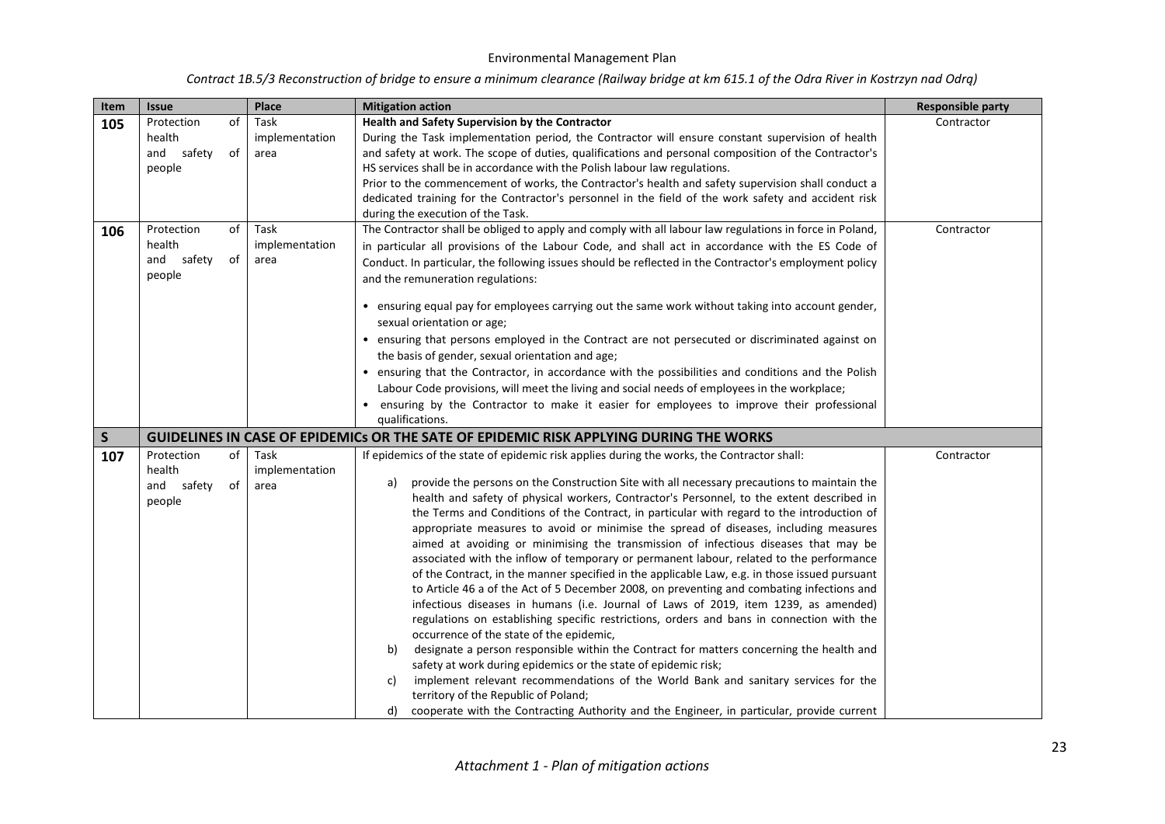| Item         | <b>Issue</b>                                                                           | Place          | <b>Mitigation action</b>                                                                                                                                                                   | <b>Responsible party</b> |
|--------------|----------------------------------------------------------------------------------------|----------------|--------------------------------------------------------------------------------------------------------------------------------------------------------------------------------------------|--------------------------|
| 105          | of<br>Protection                                                                       | Task           | Health and Safety Supervision by the Contractor                                                                                                                                            | Contractor               |
|              | health                                                                                 | implementation | During the Task implementation period, the Contractor will ensure constant supervision of health                                                                                           |                          |
|              | and<br>safety<br>of                                                                    | area           | and safety at work. The scope of duties, qualifications and personal composition of the Contractor's                                                                                       |                          |
|              | people                                                                                 |                | HS services shall be in accordance with the Polish labour law regulations.                                                                                                                 |                          |
|              |                                                                                        |                | Prior to the commencement of works, the Contractor's health and safety supervision shall conduct a                                                                                         |                          |
|              |                                                                                        |                | dedicated training for the Contractor's personnel in the field of the work safety and accident risk                                                                                        |                          |
|              |                                                                                        |                | during the execution of the Task.                                                                                                                                                          |                          |
| 106          | of<br>Protection                                                                       | Task           | The Contractor shall be obliged to apply and comply with all labour law regulations in force in Poland,                                                                                    | Contractor               |
|              | health                                                                                 | implementation | in particular all provisions of the Labour Code, and shall act in accordance with the ES Code of                                                                                           |                          |
|              | of<br>and safety                                                                       | area           | Conduct. In particular, the following issues should be reflected in the Contractor's employment policy                                                                                     |                          |
|              | people                                                                                 |                | and the remuneration regulations:                                                                                                                                                          |                          |
|              |                                                                                        |                |                                                                                                                                                                                            |                          |
|              |                                                                                        |                | ensuring equal pay for employees carrying out the same work without taking into account gender,                                                                                            |                          |
|              |                                                                                        |                | sexual orientation or age;                                                                                                                                                                 |                          |
|              |                                                                                        |                | ensuring that persons employed in the Contract are not persecuted or discriminated against on                                                                                              |                          |
|              |                                                                                        |                | the basis of gender, sexual orientation and age;                                                                                                                                           |                          |
|              |                                                                                        |                | ensuring that the Contractor, in accordance with the possibilities and conditions and the Polish                                                                                           |                          |
|              |                                                                                        |                |                                                                                                                                                                                            |                          |
|              |                                                                                        |                | Labour Code provisions, will meet the living and social needs of employees in the workplace;                                                                                               |                          |
|              |                                                                                        |                | ensuring by the Contractor to make it easier for employees to improve their professional                                                                                                   |                          |
|              |                                                                                        |                | qualifications.                                                                                                                                                                            |                          |
| $\mathsf{S}$ | GUIDELINES IN CASE OF EPIDEMICs OR THE SATE OF EPIDEMIC RISK APPLYING DURING THE WORKS |                |                                                                                                                                                                                            |                          |
| 107          | Protection<br>of                                                                       | Task           | If epidemics of the state of epidemic risk applies during the works, the Contractor shall:                                                                                                 | Contractor               |
|              | health                                                                                 | implementation | provide the persons on the Construction Site with all necessary precautions to maintain the<br>a)                                                                                          |                          |
|              | and safety<br>of                                                                       | area           | health and safety of physical workers, Contractor's Personnel, to the extent described in                                                                                                  |                          |
|              | people                                                                                 |                | the Terms and Conditions of the Contract, in particular with regard to the introduction of                                                                                                 |                          |
|              |                                                                                        |                | appropriate measures to avoid or minimise the spread of diseases, including measures                                                                                                       |                          |
|              |                                                                                        |                | aimed at avoiding or minimising the transmission of infectious diseases that may be                                                                                                        |                          |
|              |                                                                                        |                |                                                                                                                                                                                            |                          |
|              |                                                                                        |                | associated with the inflow of temporary or permanent labour, related to the performance                                                                                                    |                          |
|              |                                                                                        |                | of the Contract, in the manner specified in the applicable Law, e.g. in those issued pursuant<br>to Article 46 a of the Act of 5 December 2008, on preventing and combating infections and |                          |
|              |                                                                                        |                |                                                                                                                                                                                            |                          |
|              |                                                                                        |                | infectious diseases in humans (i.e. Journal of Laws of 2019, item 1239, as amended)                                                                                                        |                          |
|              |                                                                                        |                | regulations on establishing specific restrictions, orders and bans in connection with the                                                                                                  |                          |
|              |                                                                                        |                | occurrence of the state of the epidemic,<br>designate a person responsible within the Contract for matters concerning the health and<br>b)                                                 |                          |
|              |                                                                                        |                | safety at work during epidemics or the state of epidemic risk;                                                                                                                             |                          |
|              |                                                                                        |                | implement relevant recommendations of the World Bank and sanitary services for the<br>c)                                                                                                   |                          |
|              |                                                                                        |                |                                                                                                                                                                                            |                          |
|              |                                                                                        |                | territory of the Republic of Poland;                                                                                                                                                       |                          |
|              |                                                                                        |                | cooperate with the Contracting Authority and the Engineer, in particular, provide current<br>d)                                                                                            |                          |